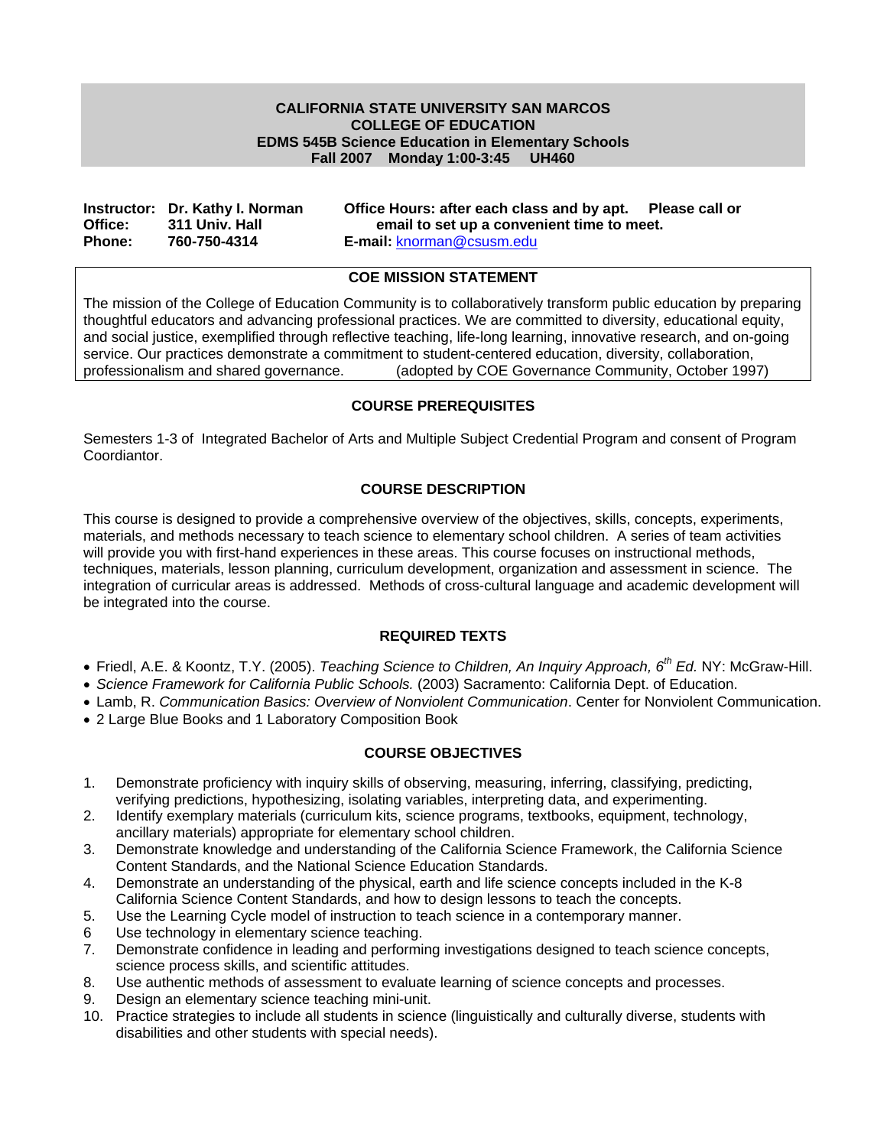## **CALIFORNIA STATE UNIVERSITY SAN MARCOS COLLEGE OF EDUCATION EDMS 545B Science Education in Elementary Schools Fall 2007 Monday 1:00-3:45 UH460**

|               | Instructor: Dr. Kathy I. Norman | Office Hours: after each class and by apt. Please call or |  |
|---------------|---------------------------------|-----------------------------------------------------------|--|
| Office:       | 311 Univ. Hall                  | email to set up a convenient time to meet.                |  |
| <b>Phone:</b> | 760-750-4314                    | <b>E-mail:</b> knorman@csusm.edu                          |  |

## **COE MISSION STATEMENT**

The mission of the College of Education Community is to collaboratively transform public education by preparing thoughtful educators and advancing professional practices. We are committed to diversity, educational equity, and social justice, exemplified through reflective teaching, life-long learning, innovative research, and on-going service. Our practices demonstrate a commitment to student-centered education, diversity, collaboration, professionalism and shared governance. (adopted by COE Governance Community, October 1997)

## **COURSE PREREQUISITES**

Semesters 1-3 of Integrated Bachelor of Arts and Multiple Subject Credential Program and consent of Program Coordiantor.

## **COURSE DESCRIPTION**

This course is designed to provide a comprehensive overview of the objectives, skills, concepts, experiments, materials, and methods necessary to teach science to elementary school children. A series of team activities will provide you with first-hand experiences in these areas. This course focuses on instructional methods, techniques, materials, lesson planning, curriculum development, organization and assessment in science. The integration of curricular areas is addressed. Methods of cross-cultural language and academic development will be integrated into the course.

## **REQUIRED TEXTS**

- Friedl, A.E. & Koontz, T.Y. (2005). *Teaching Science to Children, An Inquiry Approach, 6th Ed.* NY: McGraw-Hill.
- *Science Framework for California Public Schools.* (2003) Sacramento: California Dept. of Education.
- Lamb, R. *Communication Basics: Overview of Nonviolent Communication*. Center for Nonviolent Communication.
- 2 Large Blue Books and 1 Laboratory Composition Book

## **COURSE OBJECTIVES**

- 1. Demonstrate proficiency with inquiry skills of observing, measuring, inferring, classifying, predicting, verifying predictions, hypothesizing, isolating variables, interpreting data, and experimenting.
- 2. Identify exemplary materials (curriculum kits, science programs, textbooks, equipment, technology, ancillary materials) appropriate for elementary school children.
- 3. Demonstrate knowledge and understanding of the California Science Framework, the California Science Content Standards, and the National Science Education Standards.
- 4. Demonstrate an understanding of the physical, earth and life science concepts included in the K-8 California Science Content Standards, and how to design lessons to teach the concepts.
- 5. Use the Learning Cycle model of instruction to teach science in a contemporary manner.
- 6 Use technology in elementary science teaching.
- 7. Demonstrate confidence in leading and performing investigations designed to teach science concepts, science process skills, and scientific attitudes.
- 8. Use authentic methods of assessment to evaluate learning of science concepts and processes.
- 9. Design an elementary science teaching mini-unit.
- 10. Practice strategies to include all students in science (linguistically and culturally diverse, students with disabilities and other students with special needs).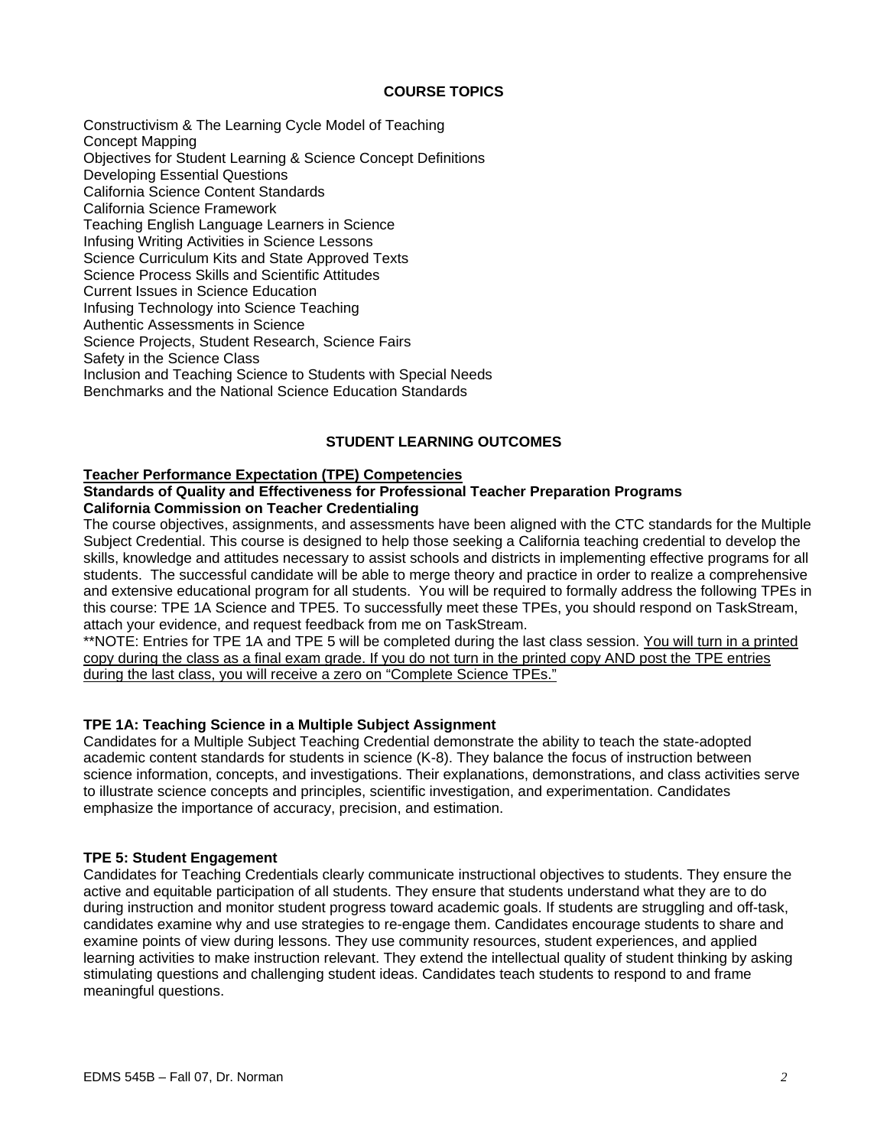## **COURSE TOPICS**

Constructivism & The Learning Cycle Model of Teaching Concept Mapping Objectives for Student Learning & Science Concept Definitions Developing Essential Questions California Science Content Standards California Science Framework Teaching English Language Learners in Science Infusing Writing Activities in Science Lessons Science Curriculum Kits and State Approved Texts Science Process Skills and Scientific Attitudes Current Issues in Science Education Infusing Technology into Science Teaching Authentic Assessments in Science Science Projects, Student Research, Science Fairs Safety in the Science Class Inclusion and Teaching Science to Students with Special Needs Benchmarks and the National Science Education Standards

## **STUDENT LEARNING OUTCOMES**

#### **Teacher Performance Expectation (TPE) Competencies**

## **Standards of Quality and Effectiveness for Professional Teacher Preparation Programs California Commission on Teacher Credentialing**

The course objectives, assignments, and assessments have been aligned with the CTC standards for the Multiple Subject Credential. This course is designed to help those seeking a California teaching credential to develop the skills, knowledge and attitudes necessary to assist schools and districts in implementing effective programs for all students. The successful candidate will be able to merge theory and practice in order to realize a comprehensive and extensive educational program for all students. You will be required to formally address the following TPEs in this course: TPE 1A Science and TPE5. To successfully meet these TPEs, you should respond on TaskStream, attach your evidence, and request feedback from me on TaskStream.

\*\*NOTE: Entries for TPE 1A and TPE 5 will be completed during the last class session. You will turn in a printed copy during the class as a final exam grade. If you do not turn in the printed copy AND post the TPE entries during the last class, you will receive a zero on "Complete Science TPEs."

## **TPE 1A: Teaching Science in a Multiple Subject Assignment**

Candidates for a Multiple Subject Teaching Credential demonstrate the ability to teach the state-adopted academic content standards for students in science (K-8). They balance the focus of instruction between science information, concepts, and investigations. Their explanations, demonstrations, and class activities serve to illustrate science concepts and principles, scientific investigation, and experimentation. Candidates emphasize the importance of accuracy, precision, and estimation.

## **TPE 5: Student Engagement**

Candidates for Teaching Credentials clearly communicate instructional objectives to students. They ensure the active and equitable participation of all students. They ensure that students understand what they are to do during instruction and monitor student progress toward academic goals. If students are struggling and off-task, candidates examine why and use strategies to re-engage them. Candidates encourage students to share and examine points of view during lessons. They use community resources, student experiences, and applied learning activities to make instruction relevant. They extend the intellectual quality of student thinking by asking stimulating questions and challenging student ideas. Candidates teach students to respond to and frame meaningful questions.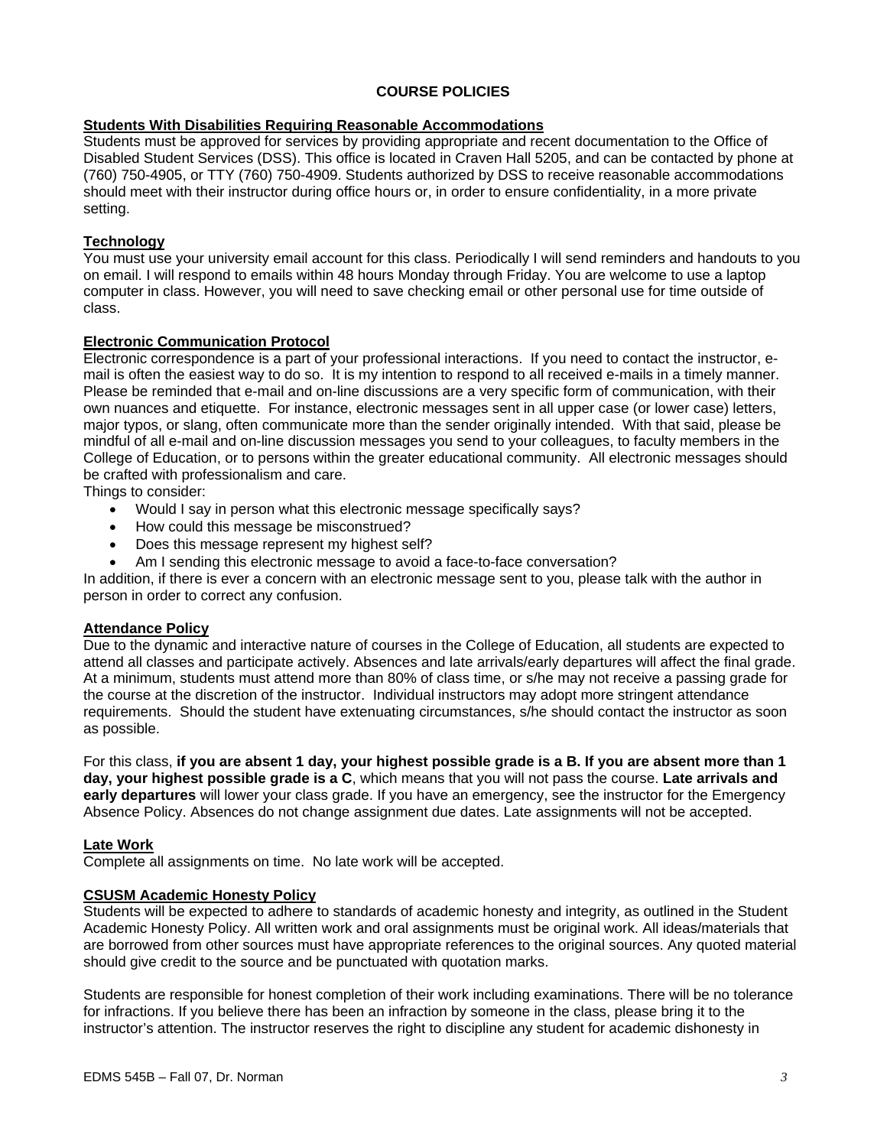## **COURSE POLICIES**

## **Students With Disabilities Requiring Reasonable Accommodations**

Students must be approved for services by providing appropriate and recent documentation to the Office of Disabled Student Services (DSS). This office is located in Craven Hall 5205, and can be contacted by phone at (760) 750-4905, or TTY (760) 750-4909. Students authorized by DSS to receive reasonable accommodations should meet with their instructor during office hours or, in order to ensure confidentiality, in a more private setting.

## **Technology**

You must use your university email account for this class. Periodically I will send reminders and handouts to you on email. I will respond to emails within 48 hours Monday through Friday. You are welcome to use a laptop computer in class. However, you will need to save checking email or other personal use for time outside of class.

## **Electronic Communication Protocol**

Electronic correspondence is a part of your professional interactions. If you need to contact the instructor, email is often the easiest way to do so. It is my intention to respond to all received e-mails in a timely manner. Please be reminded that e-mail and on-line discussions are a very specific form of communication, with their own nuances and etiquette. For instance, electronic messages sent in all upper case (or lower case) letters, major typos, or slang, often communicate more than the sender originally intended. With that said, please be mindful of all e-mail and on-line discussion messages you send to your colleagues, to faculty members in the College of Education, or to persons within the greater educational community. All electronic messages should be crafted with professionalism and care.

Things to consider:

- Would I say in person what this electronic message specifically says?
- How could this message be misconstrued?
- Does this message represent my highest self?
- Am I sending this electronic message to avoid a face-to-face conversation?

In addition, if there is ever a concern with an electronic message sent to you, please talk with the author in person in order to correct any confusion.

## **Attendance Policy**

Due to the dynamic and interactive nature of courses in the College of Education, all students are expected to attend all classes and participate actively. Absences and late arrivals/early departures will affect the final grade. At a minimum, students must attend more than 80% of class time, or s/he may not receive a passing grade for the course at the discretion of the instructor. Individual instructors may adopt more stringent attendance requirements. Should the student have extenuating circumstances, s/he should contact the instructor as soon as possible.

For this class, **if you are absent 1 day, your highest possible grade is a B. If you are absent more than 1 day, your highest possible grade is a C**, which means that you will not pass the course. **Late arrivals and early departures** will lower your class grade. If you have an emergency, see the instructor for the Emergency Absence Policy. Absences do not change assignment due dates. Late assignments will not be accepted.

## **Late Work**

Complete all assignments on time. No late work will be accepted.

## **CSUSM Academic Honesty Policy**

Students will be expected to adhere to standards of academic honesty and integrity, as outlined in the Student Academic Honesty Policy. All written work and oral assignments must be original work. All ideas/materials that are borrowed from other sources must have appropriate references to the original sources. Any quoted material should give credit to the source and be punctuated with quotation marks.

Students are responsible for honest completion of their work including examinations. There will be no tolerance for infractions. If you believe there has been an infraction by someone in the class, please bring it to the instructor's attention. The instructor reserves the right to discipline any student for academic dishonesty in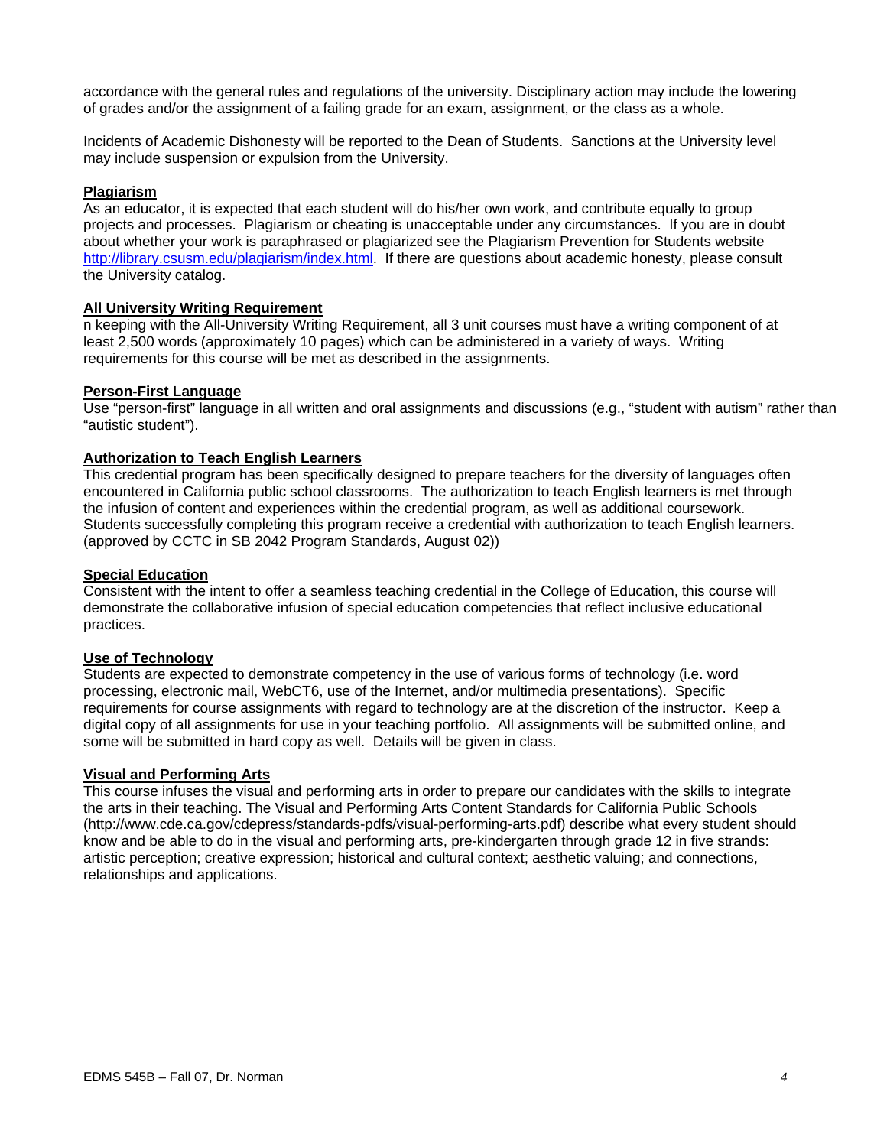accordance with the general rules and regulations of the university. Disciplinary action may include the lowering of grades and/or the assignment of a failing grade for an exam, assignment, or the class as a whole.

Incidents of Academic Dishonesty will be reported to the Dean of Students. Sanctions at the University level may include suspension or expulsion from the University.

### **Plagiarism**

As an educator, it is expected that each student will do his/her own work, and contribute equally to group projects and processes. Plagiarism or cheating is unacceptable under any circumstances. If you are in doubt about whether your work is paraphrased or plagiarized see the Plagiarism Prevention for Students website http://library.csusm.edu/plagiarism/index.html. If there are questions about academic honesty, please consult the University catalog.

#### **All University Writing Requirement**

n keeping with the All-University Writing Requirement, all 3 unit courses must have a writing component of at least 2,500 words (approximately 10 pages) which can be administered in a variety of ways. Writing requirements for this course will be met as described in the assignments.

#### **Person-First Language**

Use "person-first" language in all written and oral assignments and discussions (e.g., "student with autism" rather than "autistic student").

## **Authorization to Teach English Learners**

This credential program has been specifically designed to prepare teachers for the diversity of languages often encountered in California public school classrooms. The authorization to teach English learners is met through the infusion of content and experiences within the credential program, as well as additional coursework. Students successfully completing this program receive a credential with authorization to teach English learners. (approved by CCTC in SB 2042 Program Standards, August 02))

## **Special Education**

Consistent with the intent to offer a seamless teaching credential in the College of Education, this course will demonstrate the collaborative infusion of special education competencies that reflect inclusive educational practices.

#### **Use of Technology**

Students are expected to demonstrate competency in the use of various forms of technology (i.e. word processing, electronic mail, WebCT6, use of the Internet, and/or multimedia presentations). Specific requirements for course assignments with regard to technology are at the discretion of the instructor. Keep a digital copy of all assignments for use in your teaching portfolio. All assignments will be submitted online, and some will be submitted in hard copy as well. Details will be given in class.

## **Visual and Performing Arts**

This course infuses the visual and performing arts in order to prepare our candidates with the skills to integrate the arts in their teaching. The Visual and Performing Arts Content Standards for California Public Schools (http://www.cde.ca.gov/cdepress/standards-pdfs/visual-performing-arts.pdf) describe what every student should know and be able to do in the visual and performing arts, pre-kindergarten through grade 12 in five strands: artistic perception; creative expression; historical and cultural context; aesthetic valuing; and connections, relationships and applications.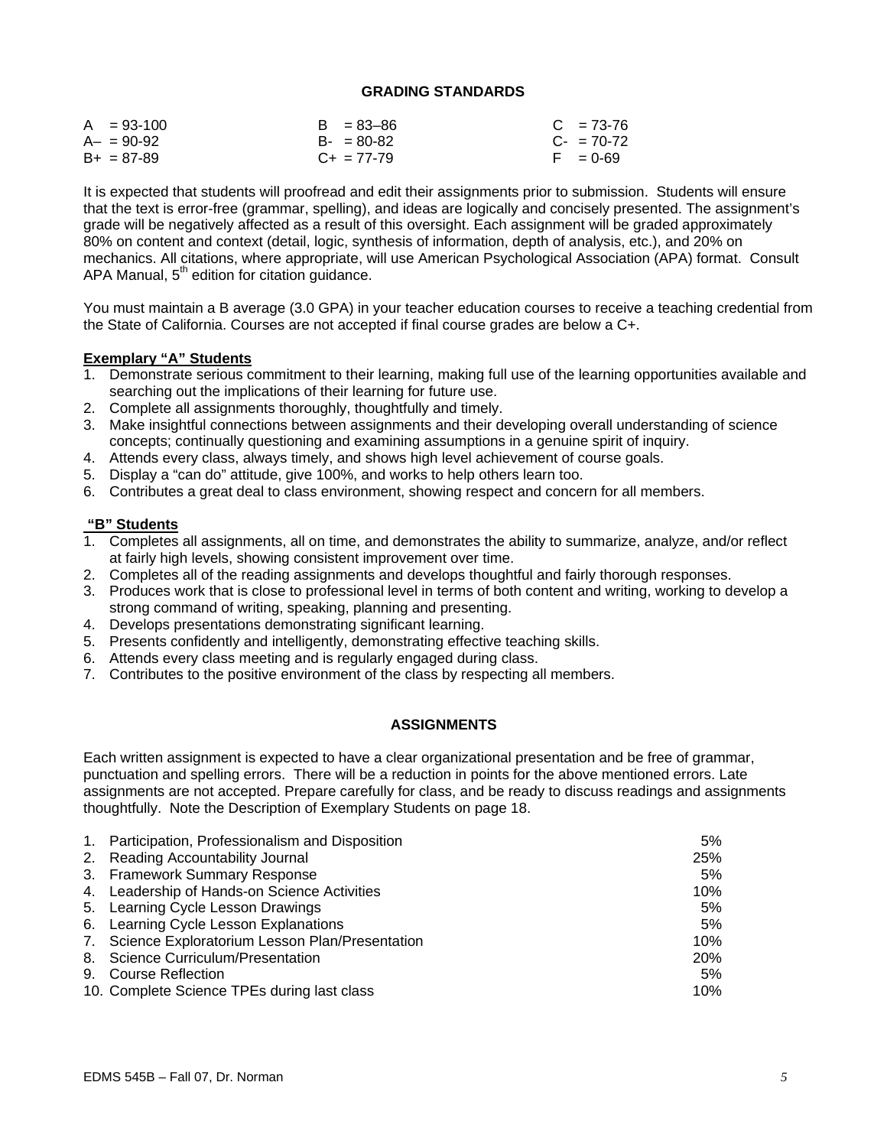#### **GRADING STANDARDS**

| $A = 93-100$    | $B = 83 - 86$   | $C = 73-76$ |
|-----------------|-----------------|-------------|
| $A - = 90 - 92$ | $B - 80 - 82$   | $C - 70-72$ |
| $B+ = 87-89$    | $C_{+}$ = 77-79 | $F = 0.69$  |

It is expected that students will proofread and edit their assignments prior to submission. Students will ensure that the text is error-free (grammar, spelling), and ideas are logically and concisely presented. The assignment's grade will be negatively affected as a result of this oversight. Each assignment will be graded approximately 80% on content and context (detail, logic, synthesis of information, depth of analysis, etc.), and 20% on mechanics. All citations, where appropriate, will use American Psychological Association (APA) format. Consult APA Manual,  $5<sup>th</sup>$  edition for citation guidance.

You must maintain a B average (3.0 GPA) in your teacher education courses to receive a teaching credential from the State of California. Courses are not accepted if final course grades are below a C+.

## **Exemplary "A" Students**

- 1. Demonstrate serious commitment to their learning, making full use of the learning opportunities available and searching out the implications of their learning for future use.
- 2. Complete all assignments thoroughly, thoughtfully and timely.
- 3. Make insightful connections between assignments and their developing overall understanding of science concepts; continually questioning and examining assumptions in a genuine spirit of inquiry.
- 4. Attends every class, always timely, and shows high level achievement of course goals.
- 5. Display a "can do" attitude, give 100%, and works to help others learn too.
- 6. Contributes a great deal to class environment, showing respect and concern for all members.

## **"B" Students**

- 1. Completes all assignments, all on time, and demonstrates the ability to summarize, analyze, and/or reflect at fairly high levels, showing consistent improvement over time.
- 2. Completes all of the reading assignments and develops thoughtful and fairly thorough responses.
- 3. Produces work that is close to professional level in terms of both content and writing, working to develop a strong command of writing, speaking, planning and presenting.
- 4. Develops presentations demonstrating significant learning.
- 5. Presents confidently and intelligently, demonstrating effective teaching skills.
- 6. Attends every class meeting and is regularly engaged during class.
- 7. Contributes to the positive environment of the class by respecting all members.

## **ASSIGNMENTS**

Each written assignment is expected to have a clear organizational presentation and be free of grammar, punctuation and spelling errors. There will be a reduction in points for the above mentioned errors. Late assignments are not accepted. Prepare carefully for class, and be ready to discuss readings and assignments thoughtfully. Note the Description of Exemplary Students on page 18.

| 1. Participation, Professionalism and Disposition | 5%         |
|---------------------------------------------------|------------|
| 2. Reading Accountability Journal                 | 25%        |
| 3. Framework Summary Response                     | 5%         |
| 4. Leadership of Hands-on Science Activities      | 10%        |
| 5. Learning Cycle Lesson Drawings                 | 5%         |
| 6. Learning Cycle Lesson Explanations             | 5%         |
| 7. Science Exploratorium Lesson Plan/Presentation | 10%        |
| 8. Science Curriculum/Presentation                | <b>20%</b> |
| 9. Course Reflection                              | 5%         |
| 10. Complete Science TPEs during last class       | 10%        |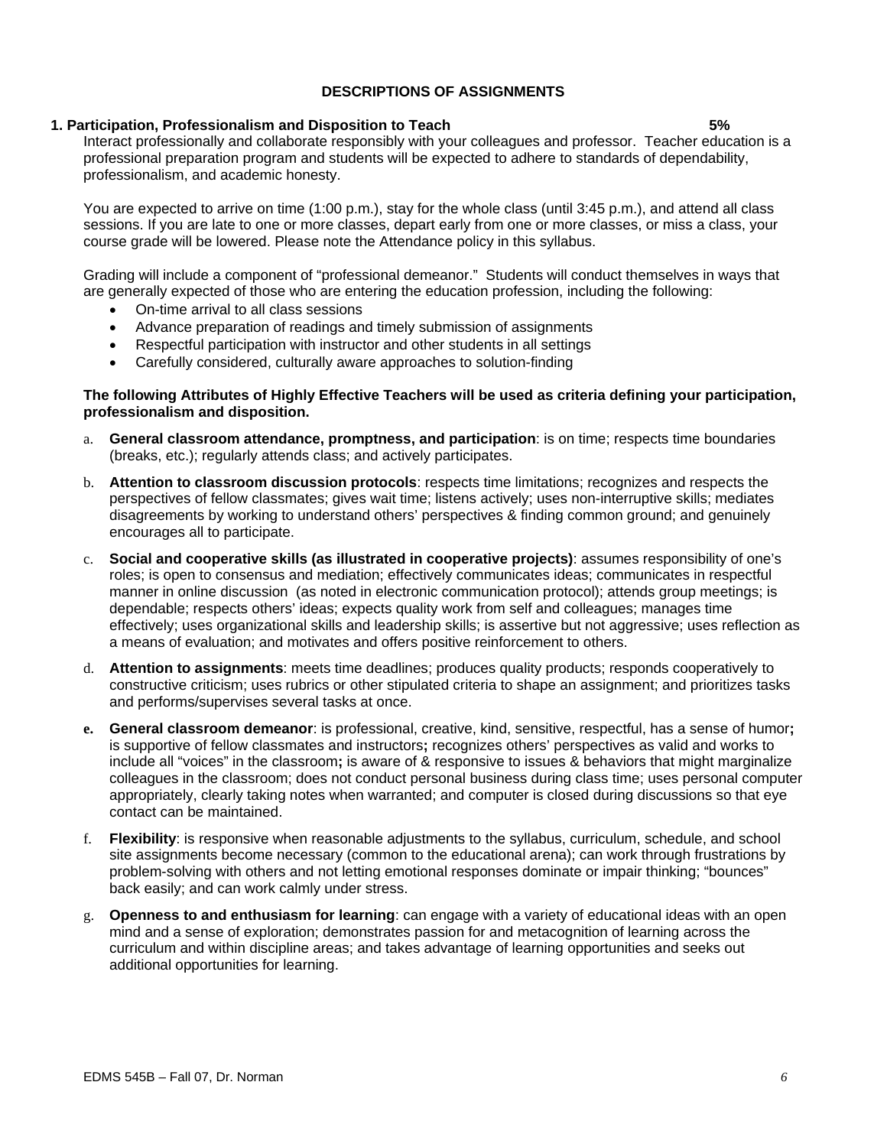#### EDMS 545B – Fall 07, Dr. Norman *6*

## **DESCRIPTIONS OF ASSIGNMENTS**

#### **1. Participation, Professionalism and Disposition to Teach 5%**

Interact professionally and collaborate responsibly with your colleagues and professor. Teacher education is a professional preparation program and students will be expected to adhere to standards of dependability, professionalism, and academic honesty.

You are expected to arrive on time (1:00 p.m.), stay for the whole class (until 3:45 p.m.), and attend all class sessions. If you are late to one or more classes, depart early from one or more classes, or miss a class, your course grade will be lowered. Please note the Attendance policy in this syllabus.

Grading will include a component of "professional demeanor." Students will conduct themselves in ways that are generally expected of those who are entering the education profession, including the following:

- On-time arrival to all class sessions
- Advance preparation of readings and timely submission of assignments
- Respectful participation with instructor and other students in all settings
- Carefully considered, culturally aware approaches to solution-finding

#### **The following Attributes of Highly Effective Teachers will be used as criteria defining your participation, professionalism and disposition.**

- a. **General classroom attendance, promptness, and participation**: is on time; respects time boundaries (breaks, etc.); regularly attends class; and actively participates.
- b. **Attention to classroom discussion protocols**: respects time limitations; recognizes and respects the perspectives of fellow classmates; gives wait time; listens actively; uses non-interruptive skills; mediates disagreements by working to understand others' perspectives & finding common ground; and genuinely encourages all to participate.
- c. **Social and cooperative skills (as illustrated in cooperative projects)**: assumes responsibility of one's roles; is open to consensus and mediation; effectively communicates ideas; communicates in respectful manner in online discussion (as noted in electronic communication protocol); attends group meetings; is dependable; respects others' ideas; expects quality work from self and colleagues; manages time effectively; uses organizational skills and leadership skills; is assertive but not aggressive; uses reflection as a means of evaluation; and motivates and offers positive reinforcement to others.
- d. **Attention to assignments**: meets time deadlines; produces quality products; responds cooperatively to constructive criticism; uses rubrics or other stipulated criteria to shape an assignment; and prioritizes tasks and performs/supervises several tasks at once.
- **e. General classroom demeanor**: is professional, creative, kind, sensitive, respectful, has a sense of humor**;**  is supportive of fellow classmates and instructors**;** recognizes others' perspectives as valid and works to include all "voices" in the classroom**;** is aware of & responsive to issues & behaviors that might marginalize colleagues in the classroom; does not conduct personal business during class time; uses personal computer appropriately, clearly taking notes when warranted; and computer is closed during discussions so that eye contact can be maintained.
- f. **Flexibility**: is responsive when reasonable adjustments to the syllabus, curriculum, schedule, and school site assignments become necessary (common to the educational arena); can work through frustrations by problem-solving with others and not letting emotional responses dominate or impair thinking; "bounces" back easily; and can work calmly under stress.
- g. **Openness to and enthusiasm for learning**: can engage with a variety of educational ideas with an open mind and a sense of exploration; demonstrates passion for and metacognition of learning across the curriculum and within discipline areas; and takes advantage of learning opportunities and seeks out additional opportunities for learning.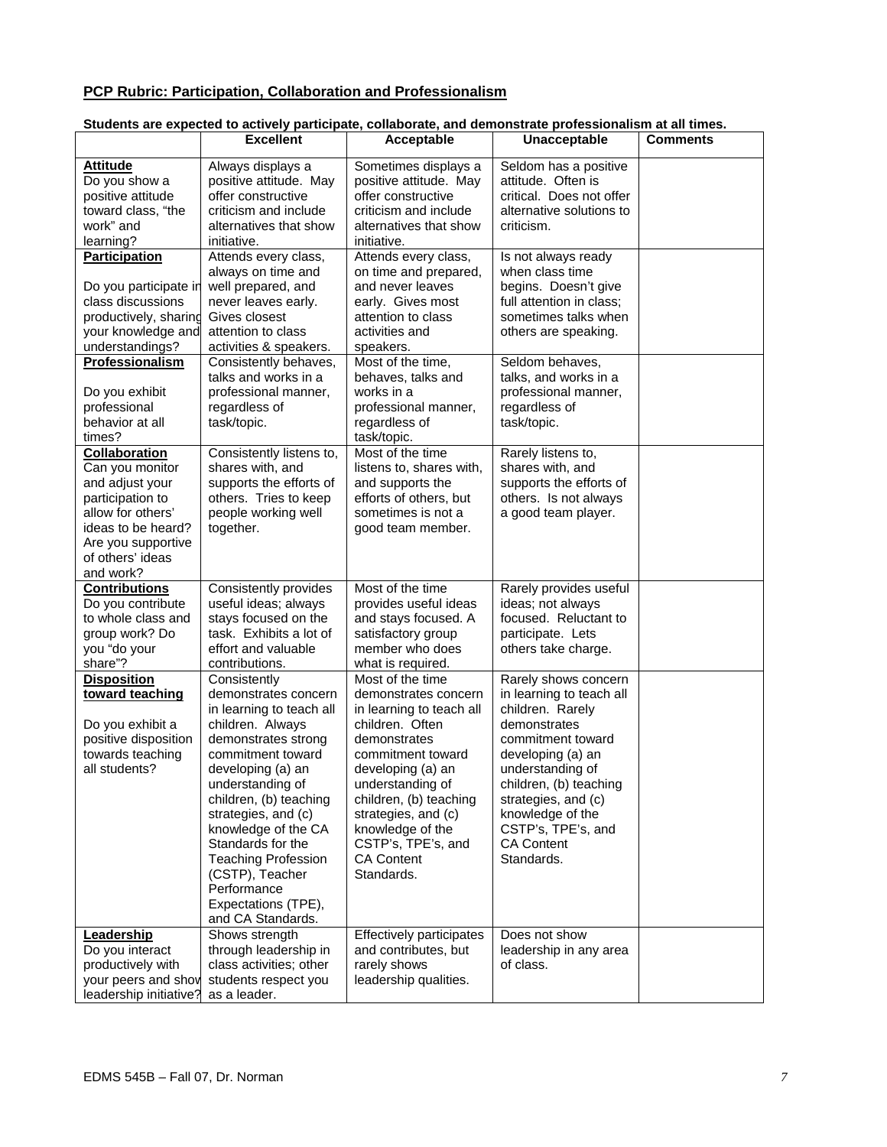# **PCP Rubric: Participation, Collaboration and Professionalism**

## **Students are expected to actively participate, collaborate, and demonstrate professionalism at all times.**

|                                | <b>Excellent</b>                           | Acceptable                              | <b>Unacceptable</b>                    | <b>Comments</b> |
|--------------------------------|--------------------------------------------|-----------------------------------------|----------------------------------------|-----------------|
| <b>Attitude</b>                | Always displays a                          | Sometimes displays a                    | Seldom has a positive                  |                 |
| Do you show a                  | positive attitude. May                     | positive attitude. May                  | attitude. Often is                     |                 |
| positive attitude              | offer constructive                         | offer constructive                      | critical. Does not offer               |                 |
| toward class, "the             | criticism and include                      | criticism and include                   | alternative solutions to               |                 |
| work" and                      | alternatives that show                     | alternatives that show                  | criticism.                             |                 |
| learning?                      | initiative.                                | initiative.                             |                                        |                 |
| <b>Participation</b>           | Attends every class,                       | Attends every class,                    | Is not always ready                    |                 |
|                                | always on time and                         | on time and prepared,                   | when class time                        |                 |
| Do you participate in          | well prepared, and                         | and never leaves                        | begins. Doesn't give                   |                 |
| class discussions              | never leaves early.                        | early. Gives most                       | full attention in class;               |                 |
| productively, sharing          | Gives closest                              | attention to class                      | sometimes talks when                   |                 |
| your knowledge and             | attention to class                         | activities and                          | others are speaking.                   |                 |
| understandings?                | activities & speakers.                     | speakers.                               |                                        |                 |
| Professionalism                | Consistently behaves,                      | Most of the time,                       | Seldom behaves,                        |                 |
|                                | talks and works in a                       | behaves, talks and                      | talks, and works in a                  |                 |
| Do you exhibit<br>professional | professional manner,<br>regardless of      | works in a<br>professional manner,      | professional manner,<br>regardless of  |                 |
| behavior at all                | task/topic.                                | regardless of                           | task/topic.                            |                 |
| times?                         |                                            | task/topic.                             |                                        |                 |
| Collaboration                  | Consistently listens to,                   | Most of the time                        | Rarely listens to,                     |                 |
| Can you monitor                | shares with, and                           | listens to, shares with,                | shares with, and                       |                 |
| and adjust your                | supports the efforts of                    | and supports the                        | supports the efforts of                |                 |
| participation to               | others. Tries to keep                      | efforts of others, but                  | others. Is not always                  |                 |
| allow for others'              | people working well                        | sometimes is not a                      | a good team player.                    |                 |
| ideas to be heard?             | together.                                  | good team member.                       |                                        |                 |
| Are you supportive             |                                            |                                         |                                        |                 |
| of others' ideas               |                                            |                                         |                                        |                 |
| and work?                      |                                            |                                         |                                        |                 |
| <b>Contributions</b>           | Consistently provides                      | Most of the time                        | Rarely provides useful                 |                 |
| Do you contribute              | useful ideas; always                       | provides useful ideas                   | ideas; not always                      |                 |
| to whole class and             | stays focused on the                       | and stays focused. A                    | focused. Reluctant to                  |                 |
| group work? Do                 | task. Exhibits a lot of                    | satisfactory group                      | participate. Lets                      |                 |
| you "do your                   | effort and valuable                        | member who does                         | others take charge.                    |                 |
| share"?                        | contributions.                             | what is required.                       |                                        |                 |
| <b>Disposition</b>             | Consistently                               | Most of the time                        | Rarely shows concern                   |                 |
| toward teaching                | demonstrates concern                       | demonstrates concern                    | in learning to teach all               |                 |
|                                | in learning to teach all                   | in learning to teach all                | children. Rarely                       |                 |
| Do you exhibit a               | children. Always                           | children. Often                         | demonstrates                           |                 |
| positive disposition           | demonstrates strong                        | demonstrates                            | commitment toward                      |                 |
| towards teaching               | commitment toward                          | commitment toward                       | developing (a) an                      |                 |
| all students?                  | developing (a) an                          | developing (a) an                       | understanding of                       |                 |
|                                | understanding of                           | understanding of                        | children, (b) teaching                 |                 |
|                                | children, (b) teaching                     | children, (b) teaching                  | strategies, and (c)                    |                 |
|                                | strategies, and (c)<br>knowledge of the CA | strategies, and (c)<br>knowledge of the | knowledge of the<br>CSTP's, TPE's, and |                 |
|                                | Standards for the                          | CSTP's, TPE's, and                      | <b>CA Content</b>                      |                 |
|                                | <b>Teaching Profession</b>                 | <b>CA Content</b>                       | Standards.                             |                 |
|                                | (CSTP), Teacher                            | Standards.                              |                                        |                 |
|                                | Performance                                |                                         |                                        |                 |
|                                | Expectations (TPE),                        |                                         |                                        |                 |
|                                | and CA Standards.                          |                                         |                                        |                 |
| Leadership                     | Shows strength                             | Effectively participates                | Does not show                          |                 |
| Do you interact                | through leadership in                      | and contributes, but                    | leadership in any area                 |                 |
| productively with              | class activities; other                    | rarely shows                            | of class.                              |                 |
| your peers and show            | students respect you                       | leadership qualities.                   |                                        |                 |
| leadership initiative?         | as a leader.                               |                                         |                                        |                 |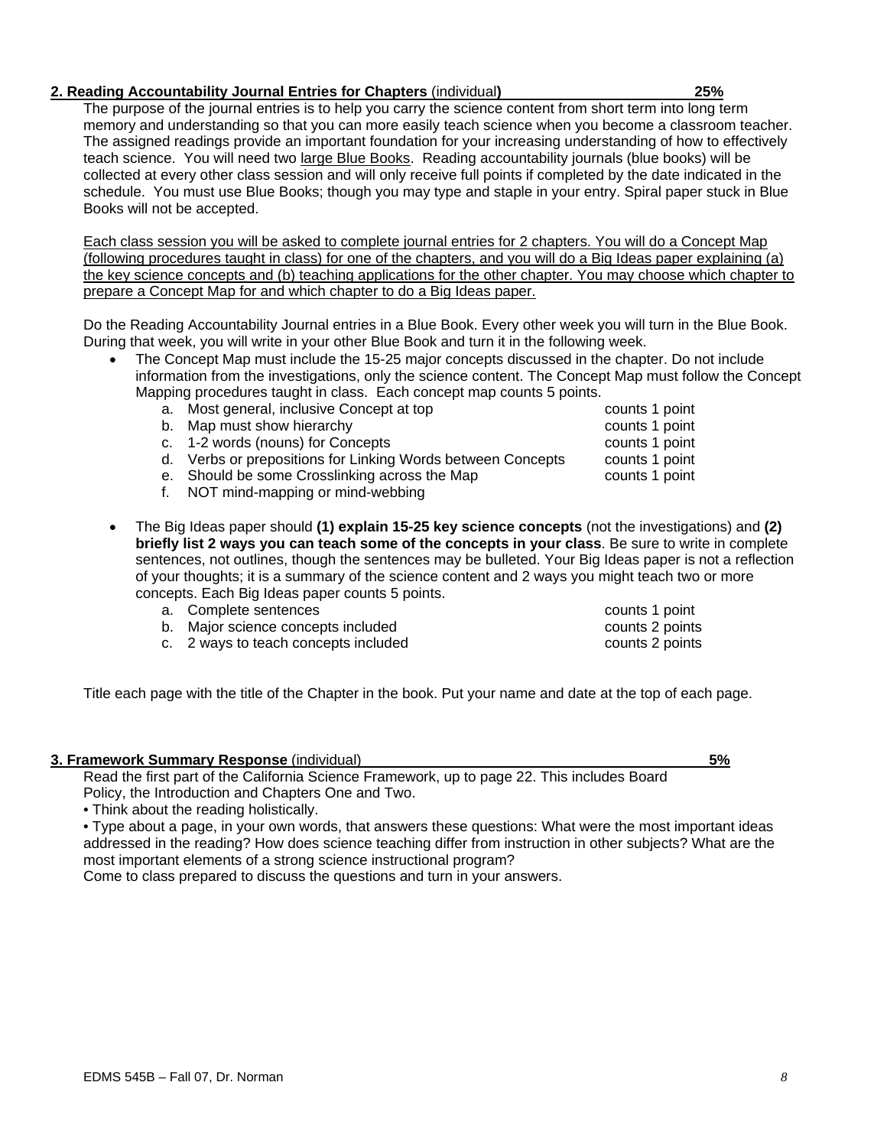## **2. Reading Accountability Journal Entries for Chapters** (individual**) 25%**

The purpose of the journal entries is to help you carry the science content from short term into long term memory and understanding so that you can more easily teach science when you become a classroom teacher. The assigned readings provide an important foundation for your increasing understanding of how to effectively teach science. You will need two large Blue Books. Reading accountability journals (blue books) will be collected at every other class session and will only receive full points if completed by the date indicated in the schedule. You must use Blue Books; though you may type and staple in your entry. Spiral paper stuck in Blue Books will not be accepted.

Each class session you will be asked to complete journal entries for 2 chapters. You will do a Concept Map (following procedures taught in class) for one of the chapters, and you will do a Big Ideas paper explaining (a) the key science concepts and (b) teaching applications for the other chapter. You may choose which chapter to prepare a Concept Map for and which chapter to do a Big Ideas paper.

Do the Reading Accountability Journal entries in a Blue Book. Every other week you will turn in the Blue Book. During that week, you will write in your other Blue Book and turn it in the following week.

- The Concept Map must include the 15-25 major concepts discussed in the chapter. Do not include information from the investigations, only the science content. The Concept Map must follow the Concept Mapping procedures taught in class. Each concept map counts 5 points.
	- a. Most general, inclusive Concept at top counts 1 point
	-
	- b. Map must show hierarchy<br>
	c. 1-2 words (nouns) for Concepts<br>
	counts 1 point<br>
	counts 1 point c. 1-2 words (nouns) for Concepts
	- d. Verbs or prepositions for Linking Words between Concepts counts 1 point
	- e. Should be some Crosslinking across the Map counts 1 point
	- f. NOT mind-mapping or mind-webbing
- The Big Ideas paper should **(1) explain 15-25 key science concepts** (not the investigations) and **(2) briefly list 2 ways you can teach some of the concepts in your class**. Be sure to write in complete sentences, not outlines, though the sentences may be bulleted. Your Big Ideas paper is not a reflection of your thoughts; it is a summary of the science content and 2 ways you might teach two or more concepts. Each Big Ideas paper counts 5 points.
	- a. Complete sentences counts 1 point
	- b. Major science concepts included counts 2 points 2 points
	- c. 2 ways to teach concepts included counts 2 points
- Title each page with the title of the Chapter in the book. Put your name and date at the top of each page.

#### **3. Framework Summary Response** (individual) **5%**

Read the first part of the California Science Framework, up to page 22. This includes Board Policy, the Introduction and Chapters One and Two.

• Think about the reading holistically.

• Type about a page, in your own words, that answers these questions: What were the most important ideas addressed in the reading? How does science teaching differ from instruction in other subjects? What are the most important elements of a strong science instructional program?

Come to class prepared to discuss the questions and turn in your answers.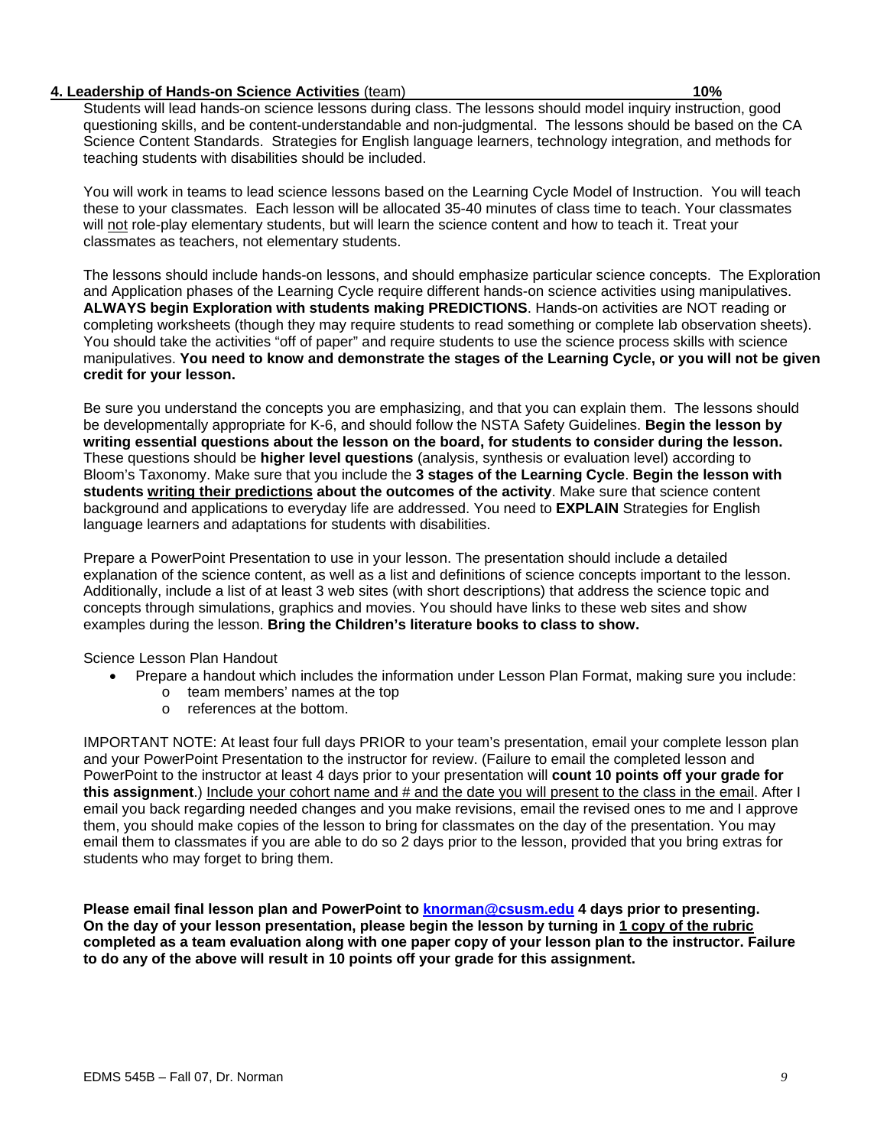## **4. Leadership of Hands-on Science Activities** (team) **10%**

Students will lead hands-on science lessons during class. The lessons should model inquiry instruction, good questioning skills, and be content-understandable and non-judgmental. The lessons should be based on the CA Science Content Standards. Strategies for English language learners, technology integration, and methods for teaching students with disabilities should be included.

You will work in teams to lead science lessons based on the Learning Cycle Model of Instruction. You will teach these to your classmates. Each lesson will be allocated 35-40 minutes of class time to teach. Your classmates will not role-play elementary students, but will learn the science content and how to teach it. Treat your classmates as teachers, not elementary students.

The lessons should include hands-on lessons, and should emphasize particular science concepts. The Exploration and Application phases of the Learning Cycle require different hands-on science activities using manipulatives. **ALWAYS begin Exploration with students making PREDICTIONS**. Hands-on activities are NOT reading or completing worksheets (though they may require students to read something or complete lab observation sheets). You should take the activities "off of paper" and require students to use the science process skills with science manipulatives. **You need to know and demonstrate the stages of the Learning Cycle, or you will not be given credit for your lesson.**

Be sure you understand the concepts you are emphasizing, and that you can explain them. The lessons should be developmentally appropriate for K-6, and should follow the NSTA Safety Guidelines. **Begin the lesson by writing essential questions about the lesson on the board, for students to consider during the lesson.**  These questions should be **higher level questions** (analysis, synthesis or evaluation level) according to Bloom's Taxonomy. Make sure that you include the **3 stages of the Learning Cycle**. **Begin the lesson with students writing their predictions about the outcomes of the activity**. Make sure that science content background and applications to everyday life are addressed. You need to **EXPLAIN** Strategies for English language learners and adaptations for students with disabilities.

Prepare a PowerPoint Presentation to use in your lesson. The presentation should include a detailed explanation of the science content, as well as a list and definitions of science concepts important to the lesson. Additionally, include a list of at least 3 web sites (with short descriptions) that address the science topic and concepts through simulations, graphics and movies. You should have links to these web sites and show examples during the lesson. **Bring the Children's literature books to class to show.**

Science Lesson Plan Handout

- Prepare a handout which includes the information under Lesson Plan Format, making sure you include:
	- o team members' names at the top
	- o references at the bottom.

IMPORTANT NOTE: At least four full days PRIOR to your team's presentation, email your complete lesson plan and your PowerPoint Presentation to the instructor for review. (Failure to email the completed lesson and PowerPoint to the instructor at least 4 days prior to your presentation will **count 10 points off your grade for this assignment**.) Include your cohort name and # and the date you will present to the class in the email. After I email you back regarding needed changes and you make revisions, email the revised ones to me and I approve them, you should make copies of the lesson to bring for classmates on the day of the presentation. You may email them to classmates if you are able to do so 2 days prior to the lesson, provided that you bring extras for students who may forget to bring them.

**Please email final lesson plan and PowerPoint to knorman@csusm.edu 4 days prior to presenting. On the day of your lesson presentation, please begin the lesson by turning in 1 copy of the rubric completed as a team evaluation along with one paper copy of your lesson plan to the instructor. Failure to do any of the above will result in 10 points off your grade for this assignment.**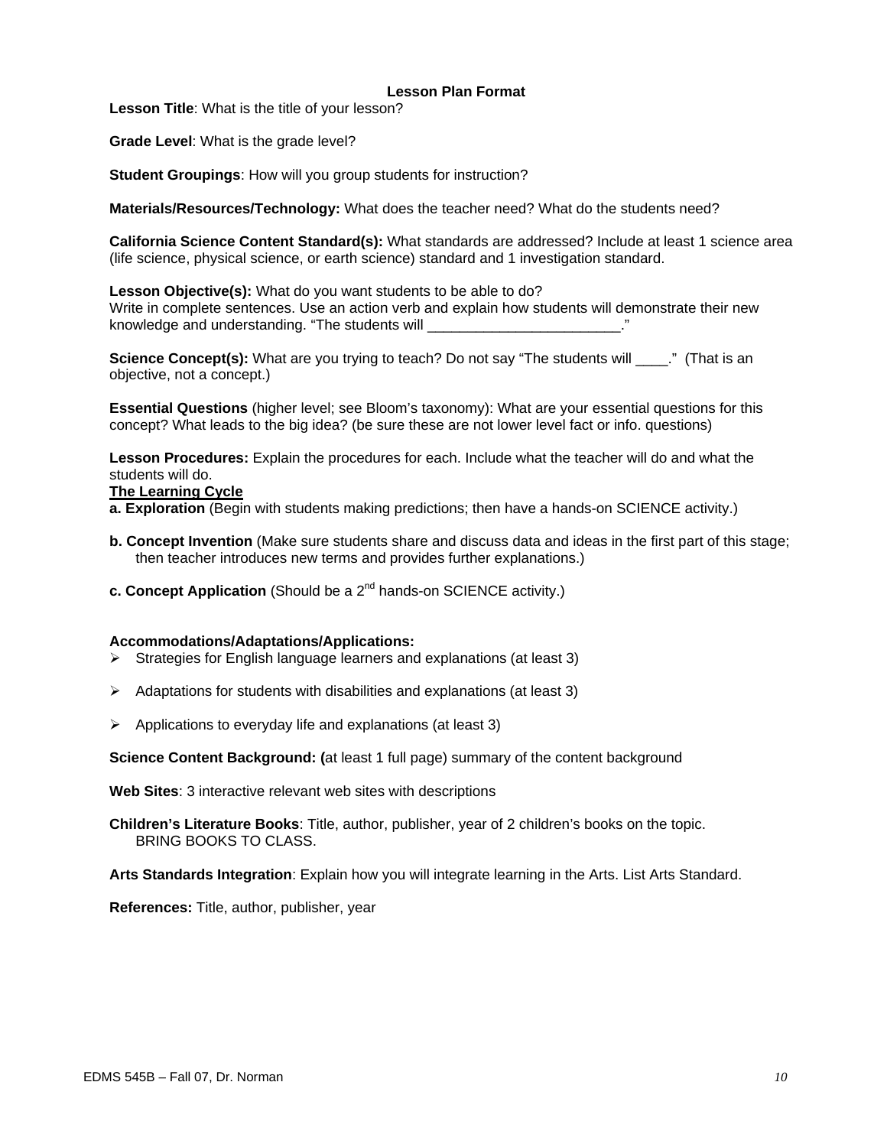## **Lesson Plan Format**

**Lesson Title**: What is the title of your lesson?

**Grade Level**: What is the grade level?

**Student Groupings**: How will you group students for instruction?

**Materials/Resources/Technology:** What does the teacher need? What do the students need?

**California Science Content Standard(s):** What standards are addressed? Include at least 1 science area (life science, physical science, or earth science) standard and 1 investigation standard.

**Lesson Objective(s):** What do you want students to be able to do? Write in complete sentences. Use an action verb and explain how students will demonstrate their new knowledge and understanding. "The students will \_

**Science Concept(s):** What are you trying to teach? Do not say "The students will \_\_\_\_." (That is an objective, not a concept.)

**Essential Questions** (higher level; see Bloom's taxonomy): What are your essential questions for this concept? What leads to the big idea? (be sure these are not lower level fact or info. questions)

**Lesson Procedures:** Explain the procedures for each. Include what the teacher will do and what the students will do.

#### **The Learning Cycle**

**a. Exploration** (Begin with students making predictions; then have a hands-on SCIENCE activity.)

- **b. Concept Invention** (Make sure students share and discuss data and ideas in the first part of this stage; then teacher introduces new terms and provides further explanations.)
- **c. Concept Application** (Should be a 2<sup>nd</sup> hands-on SCIENCE activity.)

#### **Accommodations/Adaptations/Applications:**

- $\triangleright$  Strategies for English language learners and explanations (at least 3)
- $\triangleright$  Adaptations for students with disabilities and explanations (at least 3)
- $\triangleright$  Applications to everyday life and explanations (at least 3)

**Science Content Background: (**at least 1 full page) summary of the content background

**Web Sites**: 3 interactive relevant web sites with descriptions

**Children's Literature Books**: Title, author, publisher, year of 2 children's books on the topic. BRING BOOKS TO CLASS.

**Arts Standards Integration**: Explain how you will integrate learning in the Arts. List Arts Standard.

**References:** Title, author, publisher, year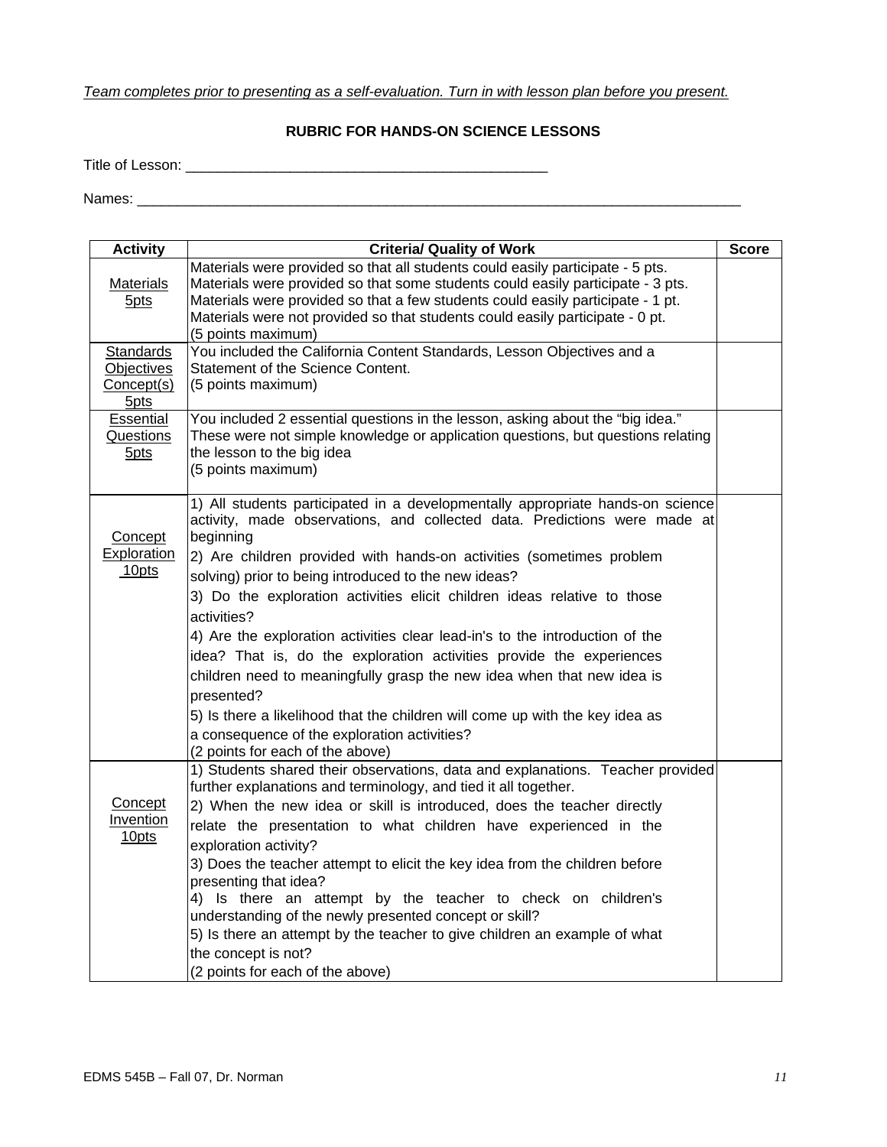# *Team completes prior to presenting as a self-evaluation. Turn in with lesson plan before you present.*

## **RUBRIC FOR HANDS-ON SCIENCE LESSONS**

Title of Lesson: \_\_\_\_\_\_\_\_\_\_\_\_\_\_\_\_\_\_\_\_\_\_\_\_\_\_\_\_\_\_\_\_\_\_\_\_\_\_\_\_\_\_\_\_\_

Names: \_\_\_\_\_\_\_\_\_\_\_\_\_\_\_\_\_\_\_\_\_\_\_\_\_\_\_\_\_\_\_\_\_\_\_\_\_\_\_\_\_\_\_\_\_\_\_\_\_\_\_\_\_\_\_\_\_\_\_\_\_\_\_\_\_\_\_\_\_\_\_\_\_\_\_

| <b>Activity</b>                                      | <b>Criteria/ Quality of Work</b>                                                                                                                                                                                                                                                                                                                                                                                                                                                                                                                                                                                                                                                                                                                                                                                        | <b>Score</b> |
|------------------------------------------------------|-------------------------------------------------------------------------------------------------------------------------------------------------------------------------------------------------------------------------------------------------------------------------------------------------------------------------------------------------------------------------------------------------------------------------------------------------------------------------------------------------------------------------------------------------------------------------------------------------------------------------------------------------------------------------------------------------------------------------------------------------------------------------------------------------------------------------|--------------|
| Materials<br>5 <sub>pts</sub>                        | Materials were provided so that all students could easily participate - 5 pts.<br>Materials were provided so that some students could easily participate - 3 pts.<br>Materials were provided so that a few students could easily participate - 1 pt.<br>Materials were not provided so that students could easily participate - 0 pt.<br>(5 points maximum)                                                                                                                                                                                                                                                                                                                                                                                                                                                             |              |
| <b>Standards</b><br>Objectives<br>Concept(s)<br>5pts | You included the California Content Standards, Lesson Objectives and a<br>Statement of the Science Content.<br>(5 points maximum)                                                                                                                                                                                                                                                                                                                                                                                                                                                                                                                                                                                                                                                                                       |              |
| Essential<br><b>Questions</b><br>5 <sub>pts</sub>    | You included 2 essential questions in the lesson, asking about the "big idea."<br>These were not simple knowledge or application questions, but questions relating<br>the lesson to the big idea<br>(5 points maximum)                                                                                                                                                                                                                                                                                                                                                                                                                                                                                                                                                                                                  |              |
| Concept<br><b>Exploration</b><br>10pts               | 1) All students participated in a developmentally appropriate hands-on science<br>activity, made observations, and collected data. Predictions were made at<br>beginning<br>2) Are children provided with hands-on activities (sometimes problem<br>solving) prior to being introduced to the new ideas?<br>3) Do the exploration activities elicit children ideas relative to those<br>activities?<br>4) Are the exploration activities clear lead-in's to the introduction of the<br>idea? That is, do the exploration activities provide the experiences<br>children need to meaningfully grasp the new idea when that new idea is<br>presented?<br>5) Is there a likelihood that the children will come up with the key idea as<br>a consequence of the exploration activities?<br>(2 points for each of the above) |              |
| Concept<br>Invention<br>10pts                        | 1) Students shared their observations, data and explanations. Teacher provided<br>further explanations and terminology, and tied it all together.<br>2) When the new idea or skill is introduced, does the teacher directly<br>relate the presentation to what children have experienced in the<br>exploration activity?<br>3) Does the teacher attempt to elicit the key idea from the children before<br>presenting that idea?<br>4) Is there an attempt by the teacher to check on children's<br>understanding of the newly presented concept or skill?<br>5) Is there an attempt by the teacher to give children an example of what<br>the concept is not?<br>(2 points for each of the above)                                                                                                                      |              |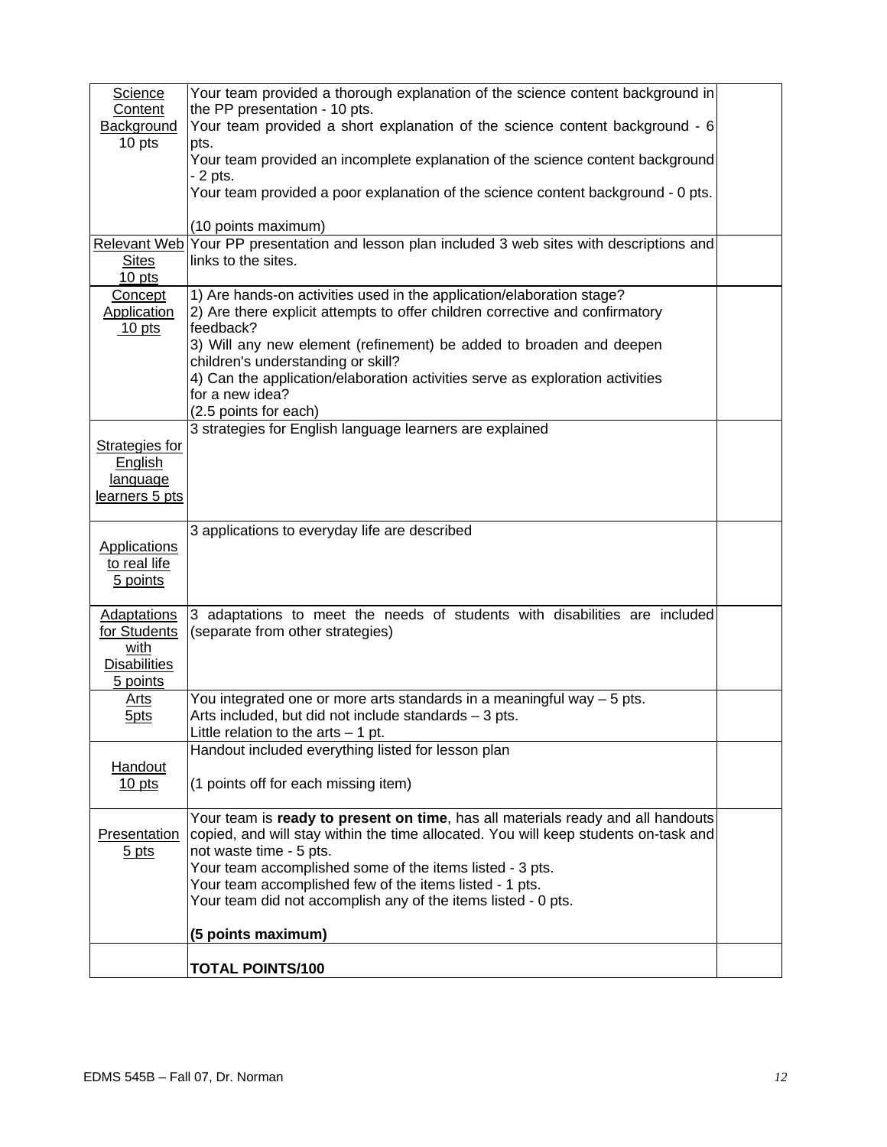| <b>Science</b>        | Your team provided a thorough explanation of the science content background in                   |  |
|-----------------------|--------------------------------------------------------------------------------------------------|--|
| Content               | the PP presentation - 10 pts.                                                                    |  |
| Background            | Your team provided a short explanation of the science content background - 6                     |  |
| 10 pts                | pts.                                                                                             |  |
|                       | Your team provided an incomplete explanation of the science content background                   |  |
|                       | - 2 pts.                                                                                         |  |
|                       | Your team provided a poor explanation of the science content background - 0 pts.                 |  |
|                       |                                                                                                  |  |
|                       | (10 points maximum)                                                                              |  |
|                       | Relevant Web Your PP presentation and lesson plan included 3 web sites with descriptions and     |  |
| <b>Sites</b>          | links to the sites.                                                                              |  |
| $10$ pts              |                                                                                                  |  |
| Concept               | 1) Are hands-on activities used in the application/elaboration stage?                            |  |
| <b>Application</b>    | 2) Are there explicit attempts to offer children corrective and confirmatory                     |  |
| $10$ pts              | feedback?                                                                                        |  |
|                       | 3) Will any new element (refinement) be added to broaden and deepen                              |  |
|                       | children's understanding or skill?                                                               |  |
|                       |                                                                                                  |  |
|                       | 4) Can the application/elaboration activities serve as exploration activities<br>for a new idea? |  |
|                       |                                                                                                  |  |
|                       | (2.5 points for each)                                                                            |  |
|                       | 3 strategies for English language learners are explained                                         |  |
| <b>Strategies for</b> |                                                                                                  |  |
| English               |                                                                                                  |  |
| language              |                                                                                                  |  |
| learners 5 pts        |                                                                                                  |  |
|                       |                                                                                                  |  |
|                       | 3 applications to everyday life are described                                                    |  |
| <b>Applications</b>   |                                                                                                  |  |
| to real life          |                                                                                                  |  |
| 5 points              |                                                                                                  |  |
|                       |                                                                                                  |  |
| <b>Adaptations</b>    | 3 adaptations to meet the needs of students with disabilities are included                       |  |
| for Students          | (separate from other strategies)                                                                 |  |
| with                  |                                                                                                  |  |
| <b>Disabilities</b>   |                                                                                                  |  |
| 5 points              |                                                                                                  |  |
| <u>Arts</u>           | You integrated one or more arts standards in a meaningful way $-5$ pts.                          |  |
|                       | Arts included, but did not include standards - 3 pts.                                            |  |
| <b>5pts</b>           |                                                                                                  |  |
|                       | Little relation to the $arts - 1$ pt.                                                            |  |
|                       | Handout included everything listed for lesson plan                                               |  |
| <b>Handout</b>        |                                                                                                  |  |
| $10$ pts              | (1 points off for each missing item)                                                             |  |
|                       |                                                                                                  |  |
|                       | Your team is ready to present on time, has all materials ready and all handouts                  |  |
| Presentation          | copied, and will stay within the time allocated. You will keep students on-task and              |  |
| $5$ pts               | not waste time - 5 pts.                                                                          |  |
|                       | Your team accomplished some of the items listed - 3 pts.                                         |  |
|                       | Your team accomplished few of the items listed - 1 pts.                                          |  |
|                       | Your team did not accomplish any of the items listed - 0 pts.                                    |  |
|                       |                                                                                                  |  |
|                       | (5 points maximum)                                                                               |  |
|                       |                                                                                                  |  |
|                       | <b>TOTAL POINTS/100</b>                                                                          |  |
|                       |                                                                                                  |  |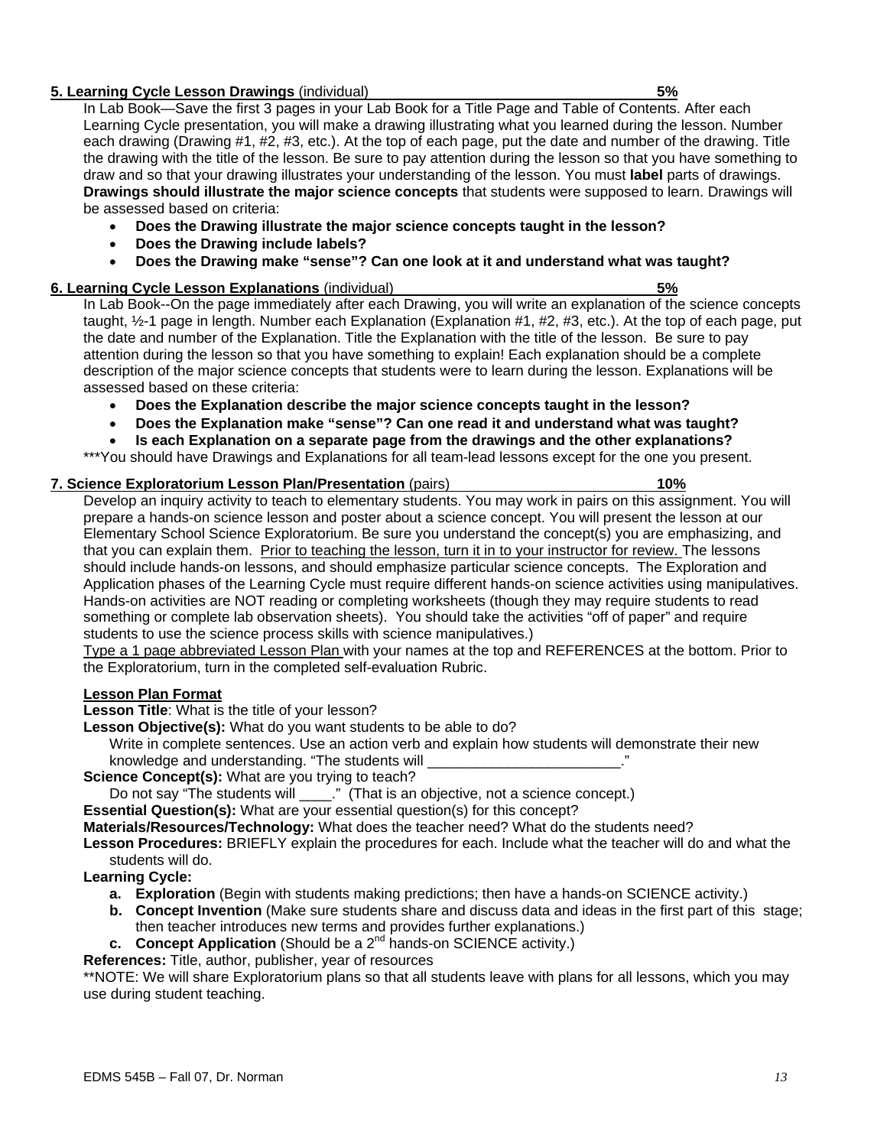## **5. Learning Cycle Lesson Drawings** (individual) **5%**

In Lab Book—Save the first 3 pages in your Lab Book for a Title Page and Table of Contents. After each Learning Cycle presentation, you will make a drawing illustrating what you learned during the lesson. Number each drawing (Drawing #1, #2, #3, etc.). At the top of each page, put the date and number of the drawing. Title the drawing with the title of the lesson. Be sure to pay attention during the lesson so that you have something to draw and so that your drawing illustrates your understanding of the lesson. You must **label** parts of drawings. **Drawings should illustrate the major science concepts** that students were supposed to learn. Drawings will be assessed based on criteria:

- **Does the Drawing illustrate the major science concepts taught in the lesson?**
- **Does the Drawing include labels?**
- **Does the Drawing make "sense"? Can one look at it and understand what was taught?**

## **6. Learning Cycle Lesson Explanations** (individual) **5%**

In Lab Book--On the page immediately after each Drawing, you will write an explanation of the science concepts taught, ½-1 page in length. Number each Explanation (Explanation #1, #2, #3, etc.). At the top of each page, put the date and number of the Explanation. Title the Explanation with the title of the lesson. Be sure to pay attention during the lesson so that you have something to explain! Each explanation should be a complete description of the major science concepts that students were to learn during the lesson. Explanations will be assessed based on these criteria:

- **Does the Explanation describe the major science concepts taught in the lesson?**
- **Does the Explanation make "sense"? Can one read it and understand what was taught?**
- **Is each Explanation on a separate page from the drawings and the other explanations?**

\*\*\*You should have Drawings and Explanations for all team-lead lessons except for the one you present.

# **7. Science Exploratorium Lesson Plan/Presentation** (pairs) **10%**

Develop an inquiry activity to teach to elementary students. You may work in pairs on this assignment. You will prepare a hands-on science lesson and poster about a science concept. You will present the lesson at our Elementary School Science Exploratorium. Be sure you understand the concept(s) you are emphasizing, and that you can explain them. Prior to teaching the lesson, turn it in to your instructor for review. The lessons should include hands-on lessons, and should emphasize particular science concepts. The Exploration and Application phases of the Learning Cycle must require different hands-on science activities using manipulatives. Hands-on activities are NOT reading or completing worksheets (though they may require students to read something or complete lab observation sheets). You should take the activities "off of paper" and require students to use the science process skills with science manipulatives.)

Type a 1 page abbreviated Lesson Plan with your names at the top and REFERENCES at the bottom. Prior to the Exploratorium, turn in the completed self-evaluation Rubric.

## **Lesson Plan Format**

**Lesson Title**: What is the title of your lesson?

**Lesson Objective(s):** What do you want students to be able to do?

 Write in complete sentences. Use an action verb and explain how students will demonstrate their new knowledge and understanding. "The students will

**Science Concept(s):** What are you trying to teach?

Do not say "The students will \_\_\_\_." (That is an objective, not a science concept.)

**Essential Question(s):** What are your essential question(s) for this concept?

**Materials/Resources/Technology:** What does the teacher need? What do the students need?

**Lesson Procedures:** BRIEFLY explain the procedures for each. Include what the teacher will do and what the students will do.

**Learning Cycle:** 

- **a. Exploration** (Begin with students making predictions; then have a hands-on SCIENCE activity.)
- **b. Concept Invention** (Make sure students share and discuss data and ideas in the first part of this stage; then teacher introduces new terms and provides further explanations.)
- **c.** Concept Application (Should be a 2<sup>nd</sup> hands-on SCIENCE activity.)

**References:** Title, author, publisher, year of resources

\*\*NOTE: We will share Exploratorium plans so that all students leave with plans for all lessons, which you may use during student teaching.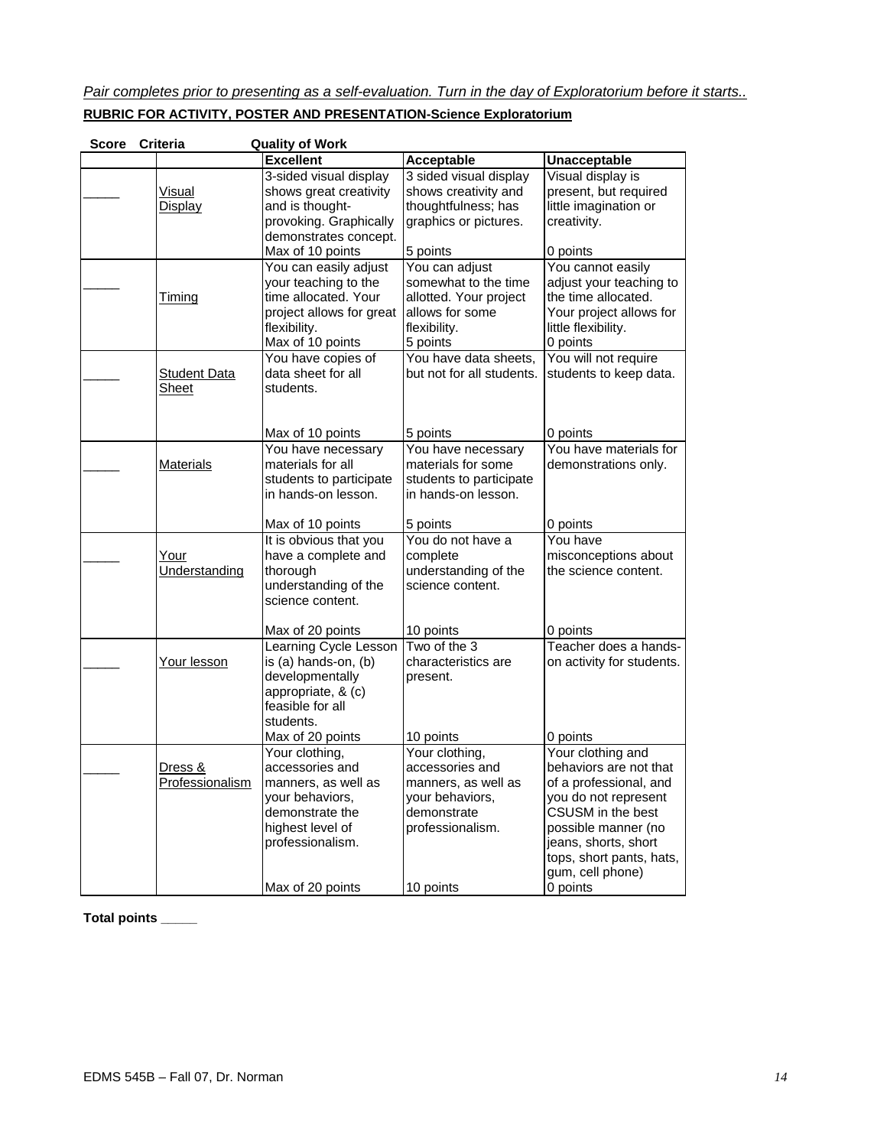*Pair completes prior to presenting as a self-evaluation. Turn in the day of Exploratorium before it starts..* **RUBRIC FOR ACTIVITY, POSTER AND PRESENTATION-Science Exploratorium**

| <b>Score</b> | Criteria                   | <b>Quality of Work</b>                                                                                                                                          |                                                                                                                             |                                                                                                                                                                                                                               |
|--------------|----------------------------|-----------------------------------------------------------------------------------------------------------------------------------------------------------------|-----------------------------------------------------------------------------------------------------------------------------|-------------------------------------------------------------------------------------------------------------------------------------------------------------------------------------------------------------------------------|
|              |                            | <b>Excellent</b>                                                                                                                                                | <b>Acceptable</b>                                                                                                           | Unacceptable                                                                                                                                                                                                                  |
|              | Visual<br>Display          | 3-sided visual display<br>shows great creativity<br>and is thought-<br>provoking. Graphically<br>demonstrates concept.                                          | 3 sided visual display<br>shows creativity and<br>thoughtfulness; has<br>graphics or pictures.                              | Visual display is<br>present, but required<br>little imagination or<br>creativity.                                                                                                                                            |
|              | Timing                     | Max of 10 points<br>You can easily adjust<br>your teaching to the<br>time allocated. Your<br>project allows for great<br>flexibility.<br>Max of 10 points       | 5 points<br>You can adjust<br>somewhat to the time<br>allotted. Your project<br>allows for some<br>flexibility.<br>5 points | 0 points<br>You cannot easily<br>adjust your teaching to<br>the time allocated.<br>Your project allows for<br>little flexibility.<br>0 points                                                                                 |
|              | Student Data<br>Sheet      | You have copies of<br>data sheet for all<br>students.                                                                                                           | You have data sheets,<br>but not for all students.                                                                          | You will not require<br>students to keep data.                                                                                                                                                                                |
|              | <b>Materials</b>           | Max of 10 points<br>You have necessary<br>materials for all<br>students to participate<br>in hands-on lesson.                                                   | 5 points<br>You have necessary<br>materials for some<br>students to participate<br>in hands-on lesson.                      | 0 points<br>You have materials for<br>demonstrations only.                                                                                                                                                                    |
|              | Your<br>Understanding      | Max of 10 points<br>It is obvious that you<br>have a complete and<br>thorough<br>understanding of the<br>science content.                                       | 5 points<br>You do not have a<br>complete<br>understanding of the<br>science content.                                       | 0 points<br>You have<br>misconceptions about<br>the science content.                                                                                                                                                          |
|              | Your lesson                | Max of 20 points<br>Learning Cycle Lesson<br>is (a) hands-on, (b)<br>developmentally<br>appropriate, & (c)<br>feasible for all<br>students.<br>Max of 20 points | 10 points<br>Two of the 3<br>characteristics are<br>present.<br>10 points                                                   | 0 points<br>Teacher does a hands-<br>on activity for students.<br>0 points                                                                                                                                                    |
|              | Dress &<br>Professionalism | Your clothing,<br>accessories and<br>manners, as well as<br>your behaviors,<br>demonstrate the<br>highest level of<br>professionalism.<br>Max of 20 points      | Your clothing,<br>accessories and<br>manners, as well as<br>your behaviors,<br>demonstrate<br>professionalism.<br>10 points | Your clothing and<br>behaviors are not that<br>of a professional, and<br>you do not represent<br>CSUSM in the best<br>possible manner (no<br>jeans, shorts, short<br>tops, short pants, hats,<br>gum, cell phone)<br>0 points |

**Total points \_\_\_\_\_**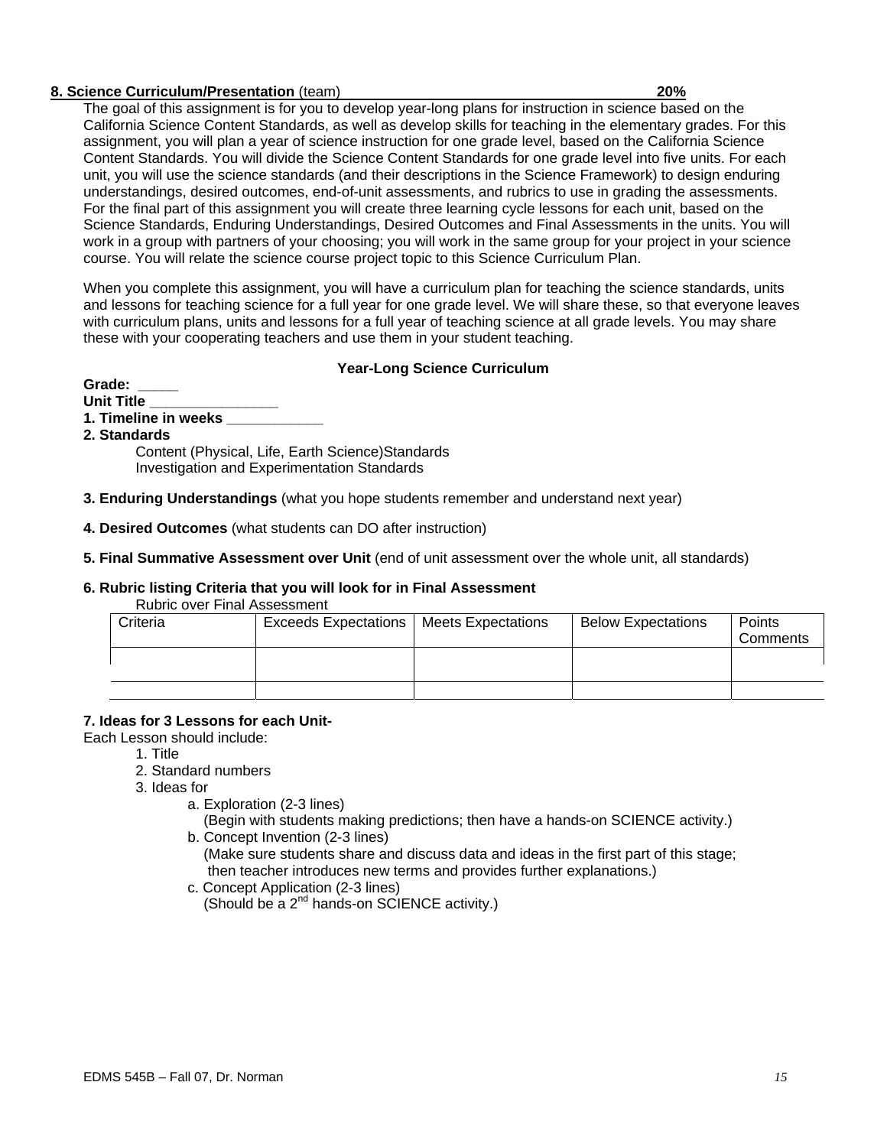## **8. Science Curriculum/Presentation** (team) **20%**

The goal of this assignment is for you to develop year-long plans for instruction in science based on the California Science Content Standards, as well as develop skills for teaching in the elementary grades. For this assignment, you will plan a year of science instruction for one grade level, based on the California Science Content Standards. You will divide the Science Content Standards for one grade level into five units. For each unit, you will use the science standards (and their descriptions in the Science Framework) to design enduring understandings, desired outcomes, end-of-unit assessments, and rubrics to use in grading the assessments. For the final part of this assignment you will create three learning cycle lessons for each unit, based on the Science Standards, Enduring Understandings, Desired Outcomes and Final Assessments in the units. You will work in a group with partners of your choosing; you will work in the same group for your project in your science course. You will relate the science course project topic to this Science Curriculum Plan.

When you complete this assignment, you will have a curriculum plan for teaching the science standards, units and lessons for teaching science for a full year for one grade level. We will share these, so that everyone leaves with curriculum plans, units and lessons for a full year of teaching science at all grade levels. You may share these with your cooperating teachers and use them in your student teaching.

## **Year-Long Science Curriculum**

Grade:

- **Unit Title \_\_\_\_\_\_\_\_\_\_\_\_\_\_\_\_**
- **1. Timeline in weeks \_\_\_\_\_\_\_\_\_\_\_\_**
- **2. Standards**

Content (Physical, Life, Earth Science)Standards Investigation and Experimentation Standards

- **3. Enduring Understandings** (what you hope students remember and understand next year)
- **4. Desired Outcomes** (what students can DO after instruction)

## **5. Final Summative Assessment over Unit** (end of unit assessment over the whole unit, all standards)

## **6. Rubric listing Criteria that you will look for in Final Assessment**

Rubric over Final Assessment

| Criteria | <b>Exceeds Expectations</b> | <b>Meets Expectations</b> | <b>Below Expectations</b> | Points<br>Comments |
|----------|-----------------------------|---------------------------|---------------------------|--------------------|
|          |                             |                           |                           |                    |
|          |                             |                           |                           |                    |

## **7. Ideas for 3 Lessons for each Unit-**

Each Lesson should include:

- 1. Title
- 2. Standard numbers
- 3. Ideas for
	- a. Exploration (2-3 lines)

 (Begin with students making predictions; then have a hands-on SCIENCE activity.) b. Concept Invention (2-3 lines)

- (Make sure students share and discuss data and ideas in the first part of this stage; then teacher introduces new terms and provides further explanations.)
- c. Concept Application (2-3 lines) (Should be a  $2^{nd}$  hands-on SCIENCE activity.)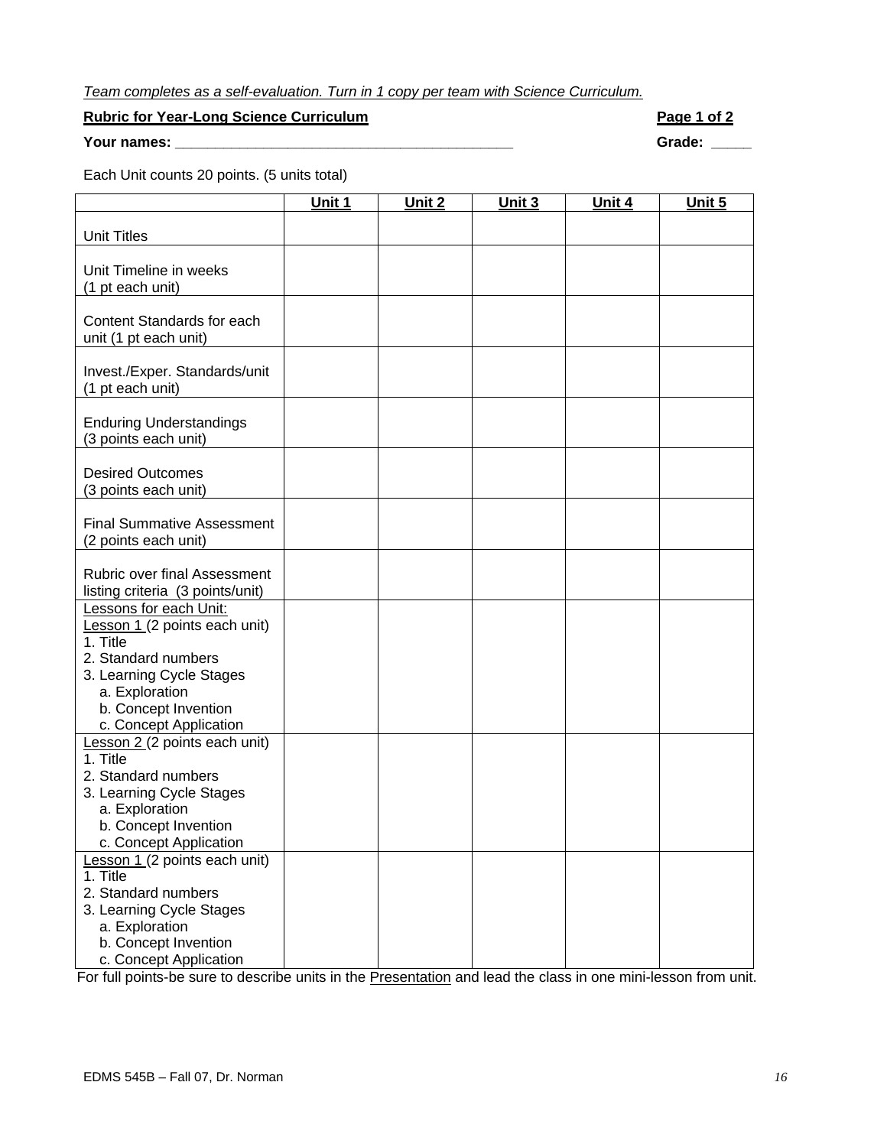# *Team completes as a self-evaluation. Turn in 1 copy per team with Science Curriculum.*

## **Rubric for Year-Long Science Curriculum**  All and the state of the Page 1 of 2

**Your names: \_\_\_\_\_\_\_\_\_\_\_\_\_\_\_\_\_\_\_\_\_\_\_\_\_\_\_\_\_\_\_\_\_\_\_\_\_\_\_\_\_\_ Grade: \_\_\_\_\_** 

Each Unit counts 20 points. (5 units total)

|                                            | Unit 1 | Unit 2 | Unit 3 | Unit 4 | Unit 5 |
|--------------------------------------------|--------|--------|--------|--------|--------|
| <b>Unit Titles</b>                         |        |        |        |        |        |
|                                            |        |        |        |        |        |
| Unit Timeline in weeks                     |        |        |        |        |        |
| (1 pt each unit)                           |        |        |        |        |        |
|                                            |        |        |        |        |        |
| Content Standards for each                 |        |        |        |        |        |
| unit (1 pt each unit)                      |        |        |        |        |        |
|                                            |        |        |        |        |        |
| Invest./Exper. Standards/unit              |        |        |        |        |        |
| (1 pt each unit)                           |        |        |        |        |        |
|                                            |        |        |        |        |        |
| <b>Enduring Understandings</b>             |        |        |        |        |        |
| (3 points each unit)                       |        |        |        |        |        |
|                                            |        |        |        |        |        |
| <b>Desired Outcomes</b>                    |        |        |        |        |        |
| (3 points each unit)                       |        |        |        |        |        |
| <b>Final Summative Assessment</b>          |        |        |        |        |        |
| (2 points each unit)                       |        |        |        |        |        |
|                                            |        |        |        |        |        |
| <b>Rubric over final Assessment</b>        |        |        |        |        |        |
| listing criteria (3 points/unit)           |        |        |        |        |        |
| Lessons for each Unit:                     |        |        |        |        |        |
| Lesson 1 (2 points each unit)              |        |        |        |        |        |
| 1. Title                                   |        |        |        |        |        |
| 2. Standard numbers                        |        |        |        |        |        |
| 3. Learning Cycle Stages                   |        |        |        |        |        |
| a. Exploration                             |        |        |        |        |        |
| b. Concept Invention                       |        |        |        |        |        |
| c. Concept Application                     |        |        |        |        |        |
| Lesson 2 (2 points each unit)              |        |        |        |        |        |
| 1. Title<br>2. Standard numbers            |        |        |        |        |        |
|                                            |        |        |        |        |        |
| 3. Learning Cycle Stages<br>a. Exploration |        |        |        |        |        |
| b. Concept Invention                       |        |        |        |        |        |
| c. Concept Application                     |        |        |        |        |        |
| Lesson 1 (2 points each unit)              |        |        |        |        |        |
| 1. Title                                   |        |        |        |        |        |
| 2. Standard numbers                        |        |        |        |        |        |
| 3. Learning Cycle Stages                   |        |        |        |        |        |
| a. Exploration                             |        |        |        |        |        |
| b. Concept Invention                       |        |        |        |        |        |
| c. Concept Application                     |        |        |        |        |        |

For full points-be sure to describe units in the Presentation and lead the class in one mini-lesson from unit.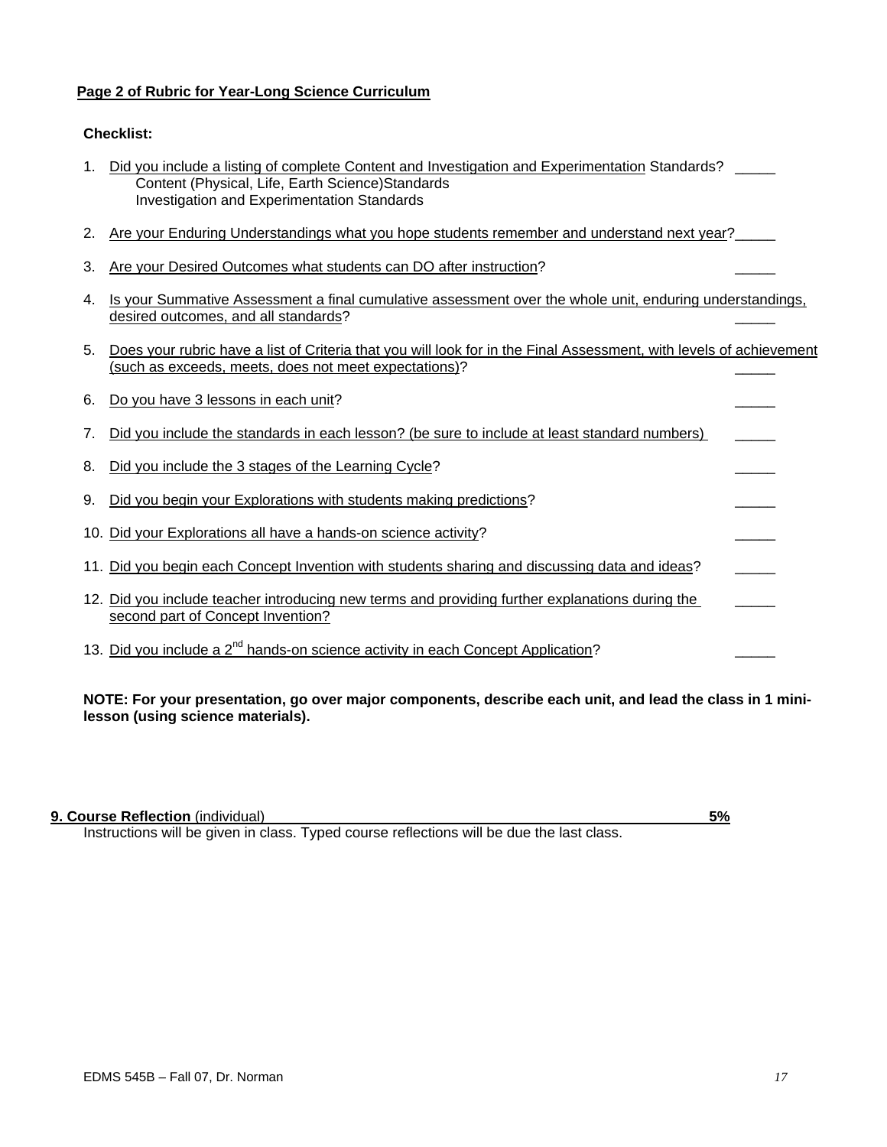## **Page 2 of Rubric for Year-Long Science Curriculum**

## **Checklist:**

| 1. Did you include a listing of complete Content and Investigation and Experimentation Standards? |  |
|---------------------------------------------------------------------------------------------------|--|
| Content (Physical, Life, Earth Science) Standards                                                 |  |
| Investigation and Experimentation Standards                                                       |  |

- 2. Are your Enduring Understandings what you hope students remember and understand next year?
- 3. Are your Desired Outcomes what students can DO after instruction?
- 4. Is your Summative Assessment a final cumulative assessment over the whole unit, enduring understandings, desired outcomes, and all standards?
- 5. Does your rubric have a list of Criteria that you will look for in the Final Assessment, with levels of achievement (such as exceeds, meets, does not meet expectations)? \_\_\_\_\_

|    | 6. Do you have 3 lessons in each unit?                                                                                               |  |
|----|--------------------------------------------------------------------------------------------------------------------------------------|--|
| 7. | Did you include the standards in each lesson? (be sure to include at least standard numbers)                                         |  |
| 8. | Did you include the 3 stages of the Learning Cycle?                                                                                  |  |
| 9. | Did you begin your Explorations with students making predictions?                                                                    |  |
|    | 10. Did your Explorations all have a hands-on science activity?                                                                      |  |
|    | 11. Did you begin each Concept Invention with students sharing and discussing data and ideas?                                        |  |
|    | 12. Did you include teacher introducing new terms and providing further explanations during the<br>second part of Concept Invention? |  |
|    | 13. Did you include a 2 <sup>nd</sup> hands-on science activity in each Concept Application?                                         |  |

**NOTE: For your presentation, go over major components, describe each unit, and lead the class in 1 minilesson (using science materials).** 

## **9. Course Reflection** (individual) **5%**

Instructions will be given in class. Typed course reflections will be due the last class.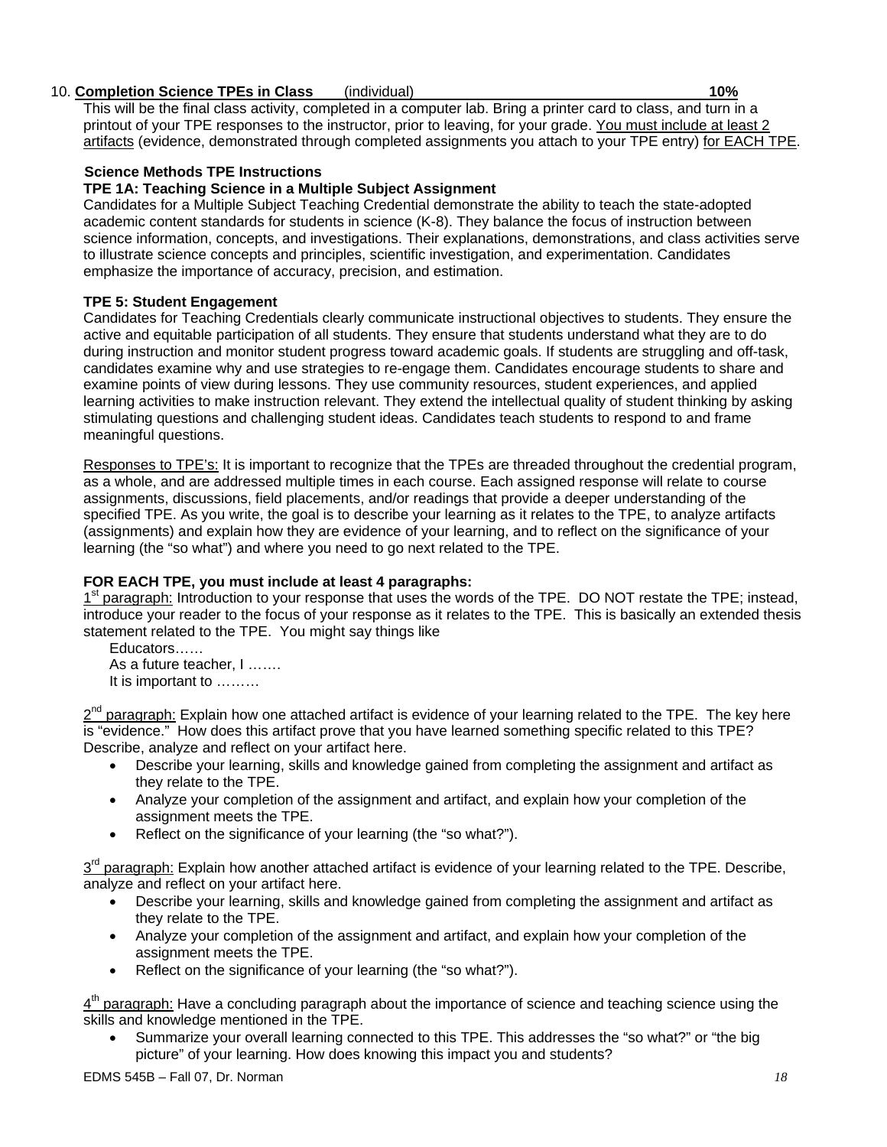## 10. **Completion Science TPEs in Class** (individual) **10%**

This will be the final class activity, completed in a computer lab. Bring a printer card to class, and turn in a printout of your TPE responses to the instructor, prior to leaving, for your grade. You must include at least 2 artifacts (evidence, demonstrated through completed assignments you attach to your TPE entry) for EACH TPE.

## **Science Methods TPE Instructions**

## **TPE 1A: Teaching Science in a Multiple Subject Assignment**

Candidates for a Multiple Subject Teaching Credential demonstrate the ability to teach the state-adopted academic content standards for students in science (K-8). They balance the focus of instruction between science information, concepts, and investigations. Their explanations, demonstrations, and class activities serve to illustrate science concepts and principles, scientific investigation, and experimentation. Candidates emphasize the importance of accuracy, precision, and estimation.

## **TPE 5: Student Engagement**

Candidates for Teaching Credentials clearly communicate instructional objectives to students. They ensure the active and equitable participation of all students. They ensure that students understand what they are to do during instruction and monitor student progress toward academic goals. If students are struggling and off-task, candidates examine why and use strategies to re-engage them. Candidates encourage students to share and examine points of view during lessons. They use community resources, student experiences, and applied learning activities to make instruction relevant. They extend the intellectual quality of student thinking by asking stimulating questions and challenging student ideas. Candidates teach students to respond to and frame meaningful questions.

Responses to TPE's: It is important to recognize that the TPEs are threaded throughout the credential program, as a whole, and are addressed multiple times in each course. Each assigned response will relate to course assignments, discussions, field placements, and/or readings that provide a deeper understanding of the specified TPE. As you write, the goal is to describe your learning as it relates to the TPE, to analyze artifacts (assignments) and explain how they are evidence of your learning, and to reflect on the significance of your learning (the "so what") and where you need to go next related to the TPE.

## **FOR EACH TPE, you must include at least 4 paragraphs:**

1<sup>st</sup> paragraph: Introduction to your response that uses the words of the TPE. DO NOT restate the TPE; instead, introduce your reader to the focus of your response as it relates to the TPE. This is basically an extended thesis statement related to the TPE. You might say things like

Educators…… As a future teacher, I ……. It is important to ………

2<sup>nd</sup> paragraph: Explain how one attached artifact is evidence of your learning related to the TPE. The key here is "evidence." How does this artifact prove that you have learned something specific related to this TPE? Describe, analyze and reflect on your artifact here.

- Describe your learning, skills and knowledge gained from completing the assignment and artifact as they relate to the TPE.
- Analyze your completion of the assignment and artifact, and explain how your completion of the assignment meets the TPE.
- Reflect on the significance of your learning (the "so what?").

 $3<sup>rd</sup>$  paragraph: Explain how another attached artifact is evidence of your learning related to the TPE. Describe, analyze and reflect on your artifact here.

- Describe your learning, skills and knowledge gained from completing the assignment and artifact as they relate to the TPE.
- Analyze your completion of the assignment and artifact, and explain how your completion of the assignment meets the TPE.
- Reflect on the significance of your learning (the "so what?").

 $4<sup>th</sup>$  paragraph: Have a concluding paragraph about the importance of science and teaching science using the skills and knowledge mentioned in the TPE.

• Summarize your overall learning connected to this TPE. This addresses the "so what?" or "the big picture" of your learning. How does knowing this impact you and students?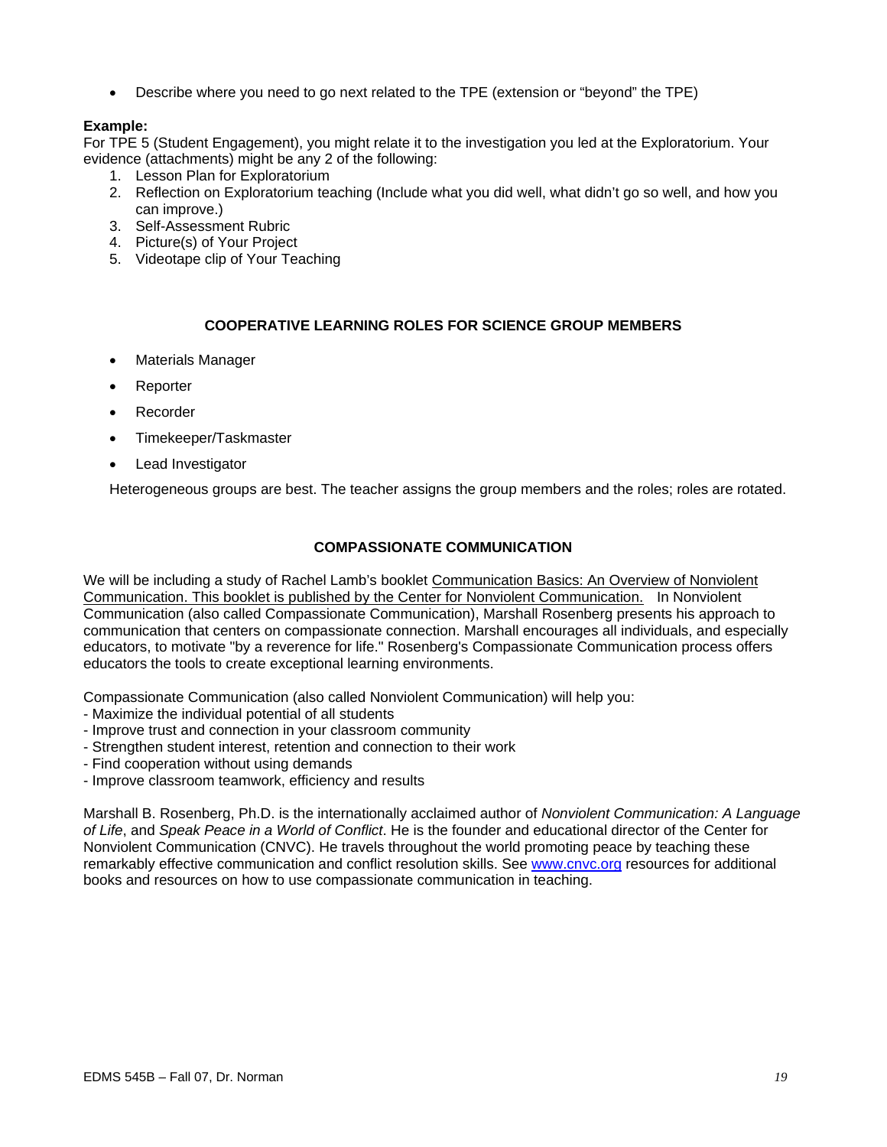• Describe where you need to go next related to the TPE (extension or "beyond" the TPE)

## **Example:**

For TPE 5 (Student Engagement), you might relate it to the investigation you led at the Exploratorium. Your evidence (attachments) might be any 2 of the following:

- 1. Lesson Plan for Exploratorium
- 2. Reflection on Exploratorium teaching (Include what you did well, what didn't go so well, and how you can improve.)
- 3. Self-Assessment Rubric
- 4. Picture(s) of Your Project
- 5. Videotape clip of Your Teaching

## **COOPERATIVE LEARNING ROLES FOR SCIENCE GROUP MEMBERS**

- Materials Manager
- **Reporter**
- **Recorder**
- Timekeeper/Taskmaster
- Lead Investigator

Heterogeneous groups are best. The teacher assigns the group members and the roles; roles are rotated.

## **COMPASSIONATE COMMUNICATION**

We will be including a study of Rachel Lamb's booklet Communication Basics: An Overview of Nonviolent Communication. This booklet is published by the Center for Nonviolent Communication. In Nonviolent Communication (also called Compassionate Communication), Marshall Rosenberg presents his approach to communication that centers on compassionate connection. Marshall encourages all individuals, and especially educators, to motivate "by a reverence for life." Rosenberg's Compassionate Communication process offers educators the tools to create exceptional learning environments.

Compassionate Communication (also called Nonviolent Communication) will help you:

- Maximize the individual potential of all students
- Improve trust and connection in your classroom community
- Strengthen student interest, retention and connection to their work
- Find cooperation without using demands
- Improve classroom teamwork, efficiency and results

Marshall B. Rosenberg, Ph.D. is the internationally acclaimed author of *Nonviolent Communication: A Language of Life*, and *Speak Peace in a World of Conflict*. He is the founder and educational director of the Center for Nonviolent Communication (CNVC). He travels throughout the world promoting peace by teaching these remarkably effective communication and conflict resolution skills. See www.cnvc.org resources for additional books and resources on how to use compassionate communication in teaching.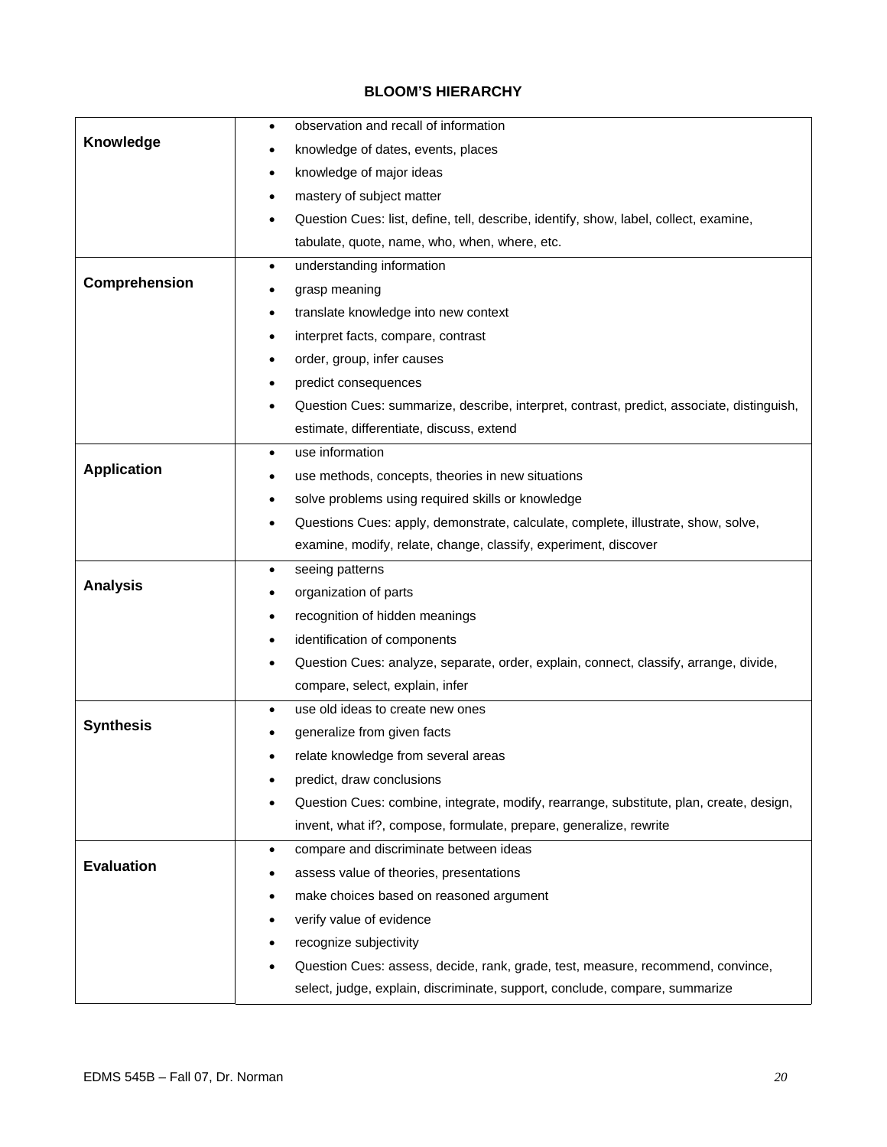# **BLOOM'S HIERARCHY**

|                    | observation and recall of information<br>$\bullet$                                        |
|--------------------|-------------------------------------------------------------------------------------------|
| Knowledge          | knowledge of dates, events, places                                                        |
|                    | knowledge of major ideas<br>٠                                                             |
|                    | mastery of subject matter                                                                 |
|                    | Question Cues: list, define, tell, describe, identify, show, label, collect, examine,     |
|                    | tabulate, quote, name, who, when, where, etc.                                             |
|                    | understanding information<br>$\bullet$                                                    |
| Comprehension      | grasp meaning                                                                             |
|                    | translate knowledge into new context                                                      |
|                    | interpret facts, compare, contrast                                                        |
|                    | order, group, infer causes                                                                |
|                    | predict consequences                                                                      |
|                    | Question Cues: summarize, describe, interpret, contrast, predict, associate, distinguish, |
|                    | estimate, differentiate, discuss, extend                                                  |
|                    | use information<br>$\bullet$                                                              |
| <b>Application</b> | use methods, concepts, theories in new situations                                         |
|                    | solve problems using required skills or knowledge                                         |
|                    | Questions Cues: apply, demonstrate, calculate, complete, illustrate, show, solve,         |
|                    | examine, modify, relate, change, classify, experiment, discover                           |
|                    |                                                                                           |
|                    | seeing patterns<br>٠                                                                      |
| <b>Analysis</b>    | organization of parts                                                                     |
|                    | recognition of hidden meanings                                                            |
|                    | identification of components                                                              |
|                    | Question Cues: analyze, separate, order, explain, connect, classify, arrange, divide,     |
|                    | compare, select, explain, infer                                                           |
|                    | use old ideas to create new ones<br>٠                                                     |
| <b>Synthesis</b>   | generalize from given facts                                                               |
|                    | relate knowledge from several areas                                                       |
|                    | predict, draw conclusions                                                                 |
|                    | Question Cues: combine, integrate, modify, rearrange, substitute, plan, create, design,   |
|                    | invent, what if?, compose, formulate, prepare, generalize, rewrite                        |
|                    | compare and discriminate between ideas<br>$\bullet$                                       |
| <b>Evaluation</b>  | assess value of theories, presentations                                                   |
|                    | make choices based on reasoned argument                                                   |
|                    | verify value of evidence                                                                  |
|                    | recognize subjectivity                                                                    |
|                    | Question Cues: assess, decide, rank, grade, test, measure, recommend, convince,           |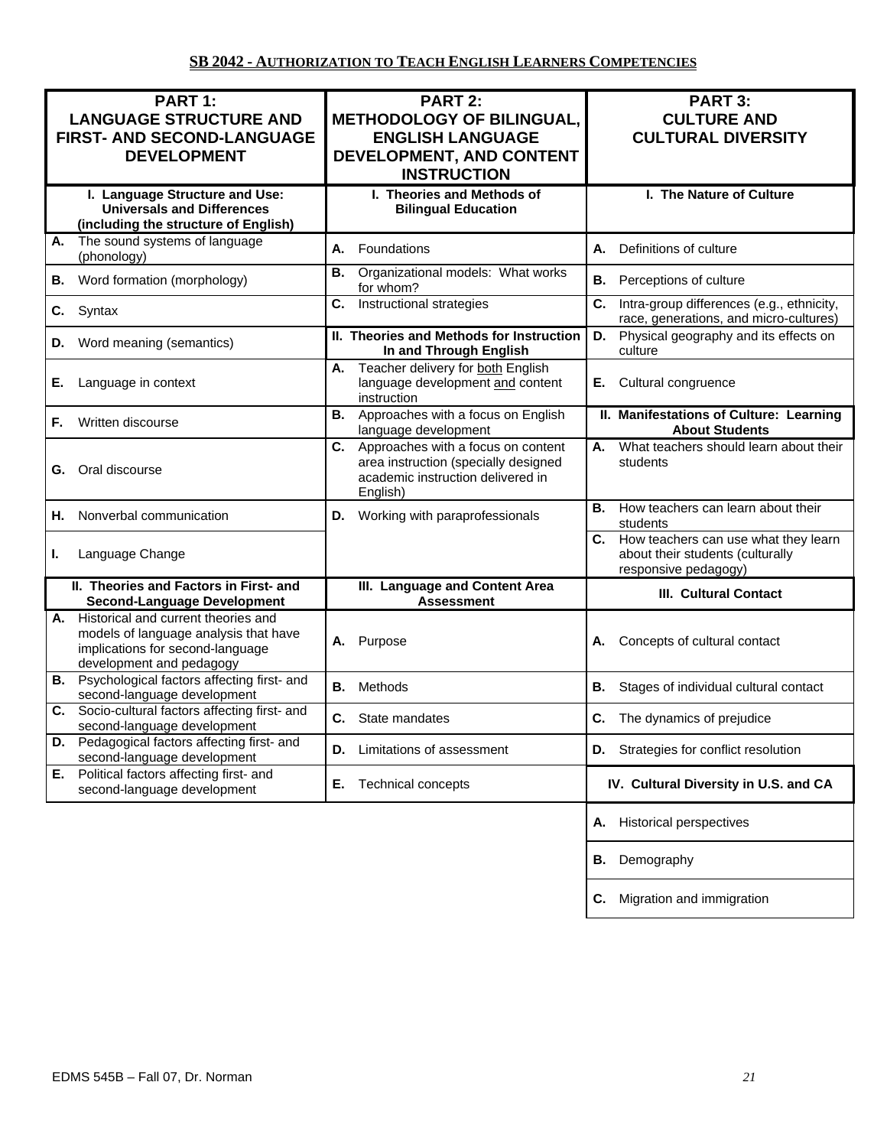| PART 1:                                                                                                                                         | <b>PART 2:</b>                                                                                                                    | PART 3:                                                                                             |  |  |
|-------------------------------------------------------------------------------------------------------------------------------------------------|-----------------------------------------------------------------------------------------------------------------------------------|-----------------------------------------------------------------------------------------------------|--|--|
| <b>LANGUAGE STRUCTURE AND</b><br>FIRST- AND SECOND-LANGUAGE                                                                                     | <b>METHODOLOGY OF BILINGUAL,</b><br><b>ENGLISH LANGUAGE</b>                                                                       | <b>CULTURE AND</b><br><b>CULTURAL DIVERSITY</b>                                                     |  |  |
| <b>DEVELOPMENT</b>                                                                                                                              | DEVELOPMENT, AND CONTENT                                                                                                          |                                                                                                     |  |  |
|                                                                                                                                                 | <b>INSTRUCTION</b>                                                                                                                |                                                                                                     |  |  |
| I. Language Structure and Use:<br><b>Universals and Differences</b><br>(including the structure of English)                                     | I. Theories and Methods of<br><b>Bilingual Education</b>                                                                          | I. The Nature of Culture                                                                            |  |  |
| The sound systems of language<br>А.<br>(phonology)                                                                                              | А.<br>Foundations                                                                                                                 | Definitions of culture<br>А.                                                                        |  |  |
| Word formation (morphology)<br>В.                                                                                                               | Organizational models: What works<br>В.<br>for whom?                                                                              | Perceptions of culture<br>В.                                                                        |  |  |
| Syntax<br>C.                                                                                                                                    | C.<br>Instructional strategies                                                                                                    | C.<br>Intra-group differences (e.g., ethnicity,<br>race, generations, and micro-cultures)           |  |  |
| Word meaning (semantics)<br>D.                                                                                                                  | II. Theories and Methods for Instruction<br>In and Through English                                                                | Physical geography and its effects on<br>D.<br>culture                                              |  |  |
| Language in context<br>Е.                                                                                                                       | Teacher delivery for both English<br>А.<br>language development and content<br>instruction                                        | Cultural congruence<br>Е.                                                                           |  |  |
| Written discourse<br>F.                                                                                                                         | Approaches with a focus on English<br>В.<br>language development                                                                  | II. Manifestations of Culture: Learning<br><b>About Students</b>                                    |  |  |
| Oral discourse<br>G.                                                                                                                            | C.<br>Approaches with a focus on content<br>area instruction (specially designed<br>academic instruction delivered in<br>English) | What teachers should learn about their<br>А.<br>students                                            |  |  |
| Nonverbal communication<br>Н.                                                                                                                   | Working with paraprofessionals<br>D.                                                                                              | How teachers can learn about their<br>В.<br>students                                                |  |  |
| Language Change<br>L.                                                                                                                           |                                                                                                                                   | C. How teachers can use what they learn<br>about their students (culturally<br>responsive pedagogy) |  |  |
| II. Theories and Factors in First- and<br><b>Second-Language Development</b>                                                                    | III. Language and Content Area<br><b>Assessment</b>                                                                               | <b>III. Cultural Contact</b>                                                                        |  |  |
| A. Historical and current theories and<br>models of language analysis that have<br>implications for second-language<br>development and pedagogy | Purpose<br>А.                                                                                                                     | Concepts of cultural contact<br>А.                                                                  |  |  |
| <b>B.</b> Psychological factors affecting first- and<br>second-language development                                                             | Methods<br>В.                                                                                                                     | В.<br>Stages of individual cultural contact                                                         |  |  |
| Socio-cultural factors affecting first- and<br>С.<br>second-language development                                                                | C.<br>State mandates                                                                                                              | C.<br>The dynamics of prejudice                                                                     |  |  |
| Pedagogical factors affecting first- and<br>D.<br>second-language development                                                                   | Limitations of assessment<br>D.                                                                                                   | Strategies for conflict resolution<br>D.                                                            |  |  |
| Political factors affecting first- and<br>Е.<br>second-language development                                                                     | Е.<br>Technical concepts                                                                                                          | IV. Cultural Diversity in U.S. and CA                                                               |  |  |
|                                                                                                                                                 |                                                                                                                                   | <b>Historical perspectives</b><br>Α.                                                                |  |  |
|                                                                                                                                                 |                                                                                                                                   | Demography<br>В.                                                                                    |  |  |
|                                                                                                                                                 |                                                                                                                                   | Migration and immigration<br>С.                                                                     |  |  |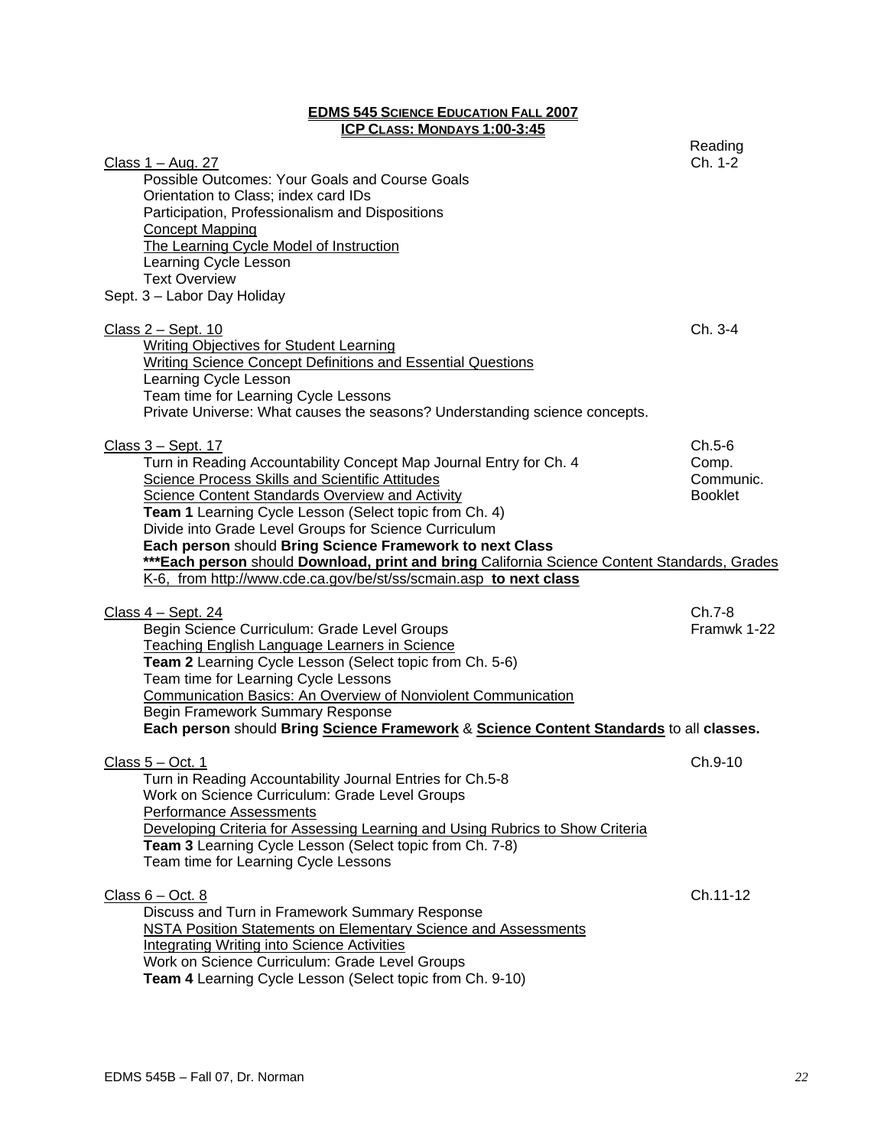#### **EDMS 545 SCIENCE EDUCATION FALL 2007 ICP CLASS: MONDAYS 1:00-3:45**

| <u>Class 1 – Aug. 27</u><br>Possible Outcomes: Your Goals and Course Goals<br>Orientation to Class; index card IDs<br>Participation, Professionalism and Dispositions<br><b>Concept Mapping</b><br>The Learning Cycle Model of Instruction<br>Learning Cycle Lesson<br><b>Text Overview</b><br>Sept. 3 - Labor Day Holiday                                                                                                                                                                                                                                       | Reading<br>Ch. 1-2                               |
|------------------------------------------------------------------------------------------------------------------------------------------------------------------------------------------------------------------------------------------------------------------------------------------------------------------------------------------------------------------------------------------------------------------------------------------------------------------------------------------------------------------------------------------------------------------|--------------------------------------------------|
| <u>Class 2 – Sept. 10</u><br><b>Writing Objectives for Student Learning</b><br>Writing Science Concept Definitions and Essential Questions<br>Learning Cycle Lesson<br>Team time for Learning Cycle Lessons<br>Private Universe: What causes the seasons? Understanding science concepts.                                                                                                                                                                                                                                                                        | $Ch. 3-4$                                        |
| Class 3 - Sept. 17<br>Turn in Reading Accountability Concept Map Journal Entry for Ch. 4<br><b>Science Process Skills and Scientific Attitudes</b><br><b>Science Content Standards Overview and Activity</b><br>Team 1 Learning Cycle Lesson (Select topic from Ch. 4)<br>Divide into Grade Level Groups for Science Curriculum<br>Each person should Bring Science Framework to next Class<br>***Each person should Download, print and bring California Science Content Standards, Grades<br>K-6, from http://www.cde.ca.gov/be/st/ss/scmain.asp to next class | $Ch.5-6$<br>Comp.<br>Communic.<br><b>Booklet</b> |
| Class $4 -$ Sept. 24<br>Begin Science Curriculum: Grade Level Groups<br>Teaching English Language Learners in Science<br>Team 2 Learning Cycle Lesson (Select topic from Ch. 5-6)<br>Team time for Learning Cycle Lessons<br><b>Communication Basics: An Overview of Nonviolent Communication</b><br>Begin Framework Summary Response<br>Each person should Bring Science Framework & Science Content Standards to all classes.                                                                                                                                  | Ch.7-8<br>Framwk 1-22                            |
| Class $5 - Oct. 1$<br>Turn in Reading Accountability Journal Entries for Ch.5-8<br>Work on Science Curriculum: Grade Level Groups<br><b>Performance Assessments</b><br>Developing Criteria for Assessing Learning and Using Rubrics to Show Criteria<br>Team 3 Learning Cycle Lesson (Select topic from Ch. 7-8)<br>Team time for Learning Cycle Lessons                                                                                                                                                                                                         | Ch.9-10                                          |
| $Class 6 - Oct. 8$<br>Discuss and Turn in Framework Summary Response<br><b>NSTA Position Statements on Elementary Science and Assessments</b><br><b>Integrating Writing into Science Activities</b><br>Work on Science Curriculum: Grade Level Groups<br>Team 4 Learning Cycle Lesson (Select topic from Ch. 9-10)                                                                                                                                                                                                                                               | Ch.11-12                                         |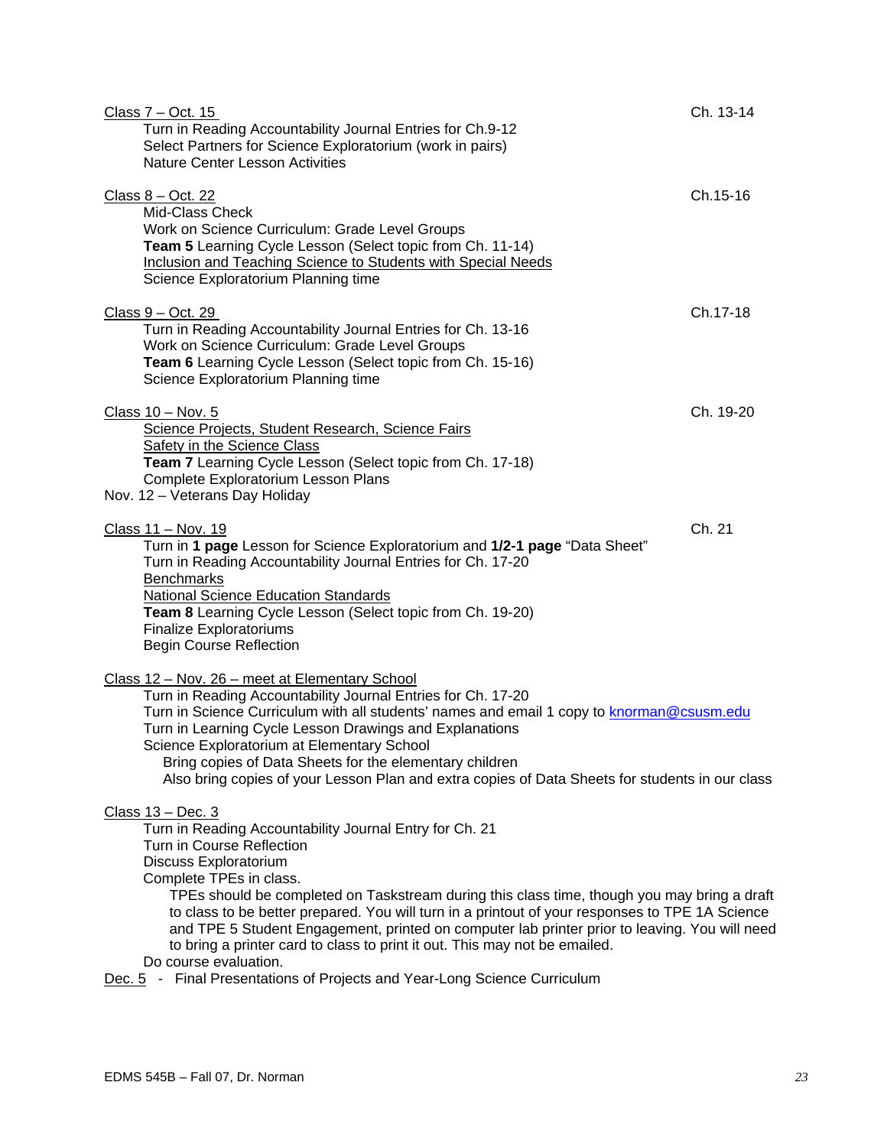| <u>Class 7 – Oct. 15</u><br>Turn in Reading Accountability Journal Entries for Ch.9-12<br>Select Partners for Science Exploratorium (work in pairs)<br><b>Nature Center Lesson Activities</b>                                                                                                                                                                                                                                                                                                                                                                                                                                                        | Ch. 13-14 |
|------------------------------------------------------------------------------------------------------------------------------------------------------------------------------------------------------------------------------------------------------------------------------------------------------------------------------------------------------------------------------------------------------------------------------------------------------------------------------------------------------------------------------------------------------------------------------------------------------------------------------------------------------|-----------|
| <u>Class 8 – Oct. 22</u><br>Mid-Class Check<br>Work on Science Curriculum: Grade Level Groups<br>Team 5 Learning Cycle Lesson (Select topic from Ch. 11-14)<br>Inclusion and Teaching Science to Students with Special Needs<br>Science Exploratorium Planning time                                                                                                                                                                                                                                                                                                                                                                                  | Ch.15-16  |
| $Class 9 - Oct. 29$<br>Turn in Reading Accountability Journal Entries for Ch. 13-16<br>Work on Science Curriculum: Grade Level Groups<br>Team 6 Learning Cycle Lesson (Select topic from Ch. 15-16)<br>Science Exploratorium Planning time                                                                                                                                                                                                                                                                                                                                                                                                           | Ch.17-18  |
| Class 10 - Nov. 5<br>Science Projects, Student Research, Science Fairs<br><b>Safety in the Science Class</b><br>Team 7 Learning Cycle Lesson (Select topic from Ch. 17-18)<br>Complete Exploratorium Lesson Plans<br>Nov. 12 - Veterans Day Holiday                                                                                                                                                                                                                                                                                                                                                                                                  | Ch. 19-20 |
| Class 11 - Nov. 19<br>Turn in 1 page Lesson for Science Exploratorium and 1/2-1 page "Data Sheet"<br>Turn in Reading Accountability Journal Entries for Ch. 17-20<br><b>Benchmarks</b><br><b>National Science Education Standards</b><br>Team 8 Learning Cycle Lesson (Select topic from Ch. 19-20)<br><b>Finalize Exploratoriums</b><br><b>Begin Course Reflection</b>                                                                                                                                                                                                                                                                              | Ch. 21    |
| Class 12 - Nov. 26 - meet at Elementary School<br>Turn in Reading Accountability Journal Entries for Ch. 17-20<br>Turn in Science Curriculum with all students' names and email 1 copy to knorman@csusm.edu<br>Turn in Learning Cycle Lesson Drawings and Explanations<br>Science Exploratorium at Elementary School<br>Bring copies of Data Sheets for the elementary children<br>Also bring copies of your Lesson Plan and extra copies of Data Sheets for students in our class                                                                                                                                                                   |           |
| Class 13 - Dec. 3<br>Turn in Reading Accountability Journal Entry for Ch. 21<br>Turn in Course Reflection<br>Discuss Exploratorium<br>Complete TPEs in class.<br>TPEs should be completed on Taskstream during this class time, though you may bring a draft<br>to class to be better prepared. You will turn in a printout of your responses to TPE 1A Science<br>and TPE 5 Student Engagement, printed on computer lab printer prior to leaving. You will need<br>to bring a printer card to class to print it out. This may not be emailed.<br>Do course evaluation.<br>Dec. 5 - Final Presentations of Projects and Year-Long Science Curriculum |           |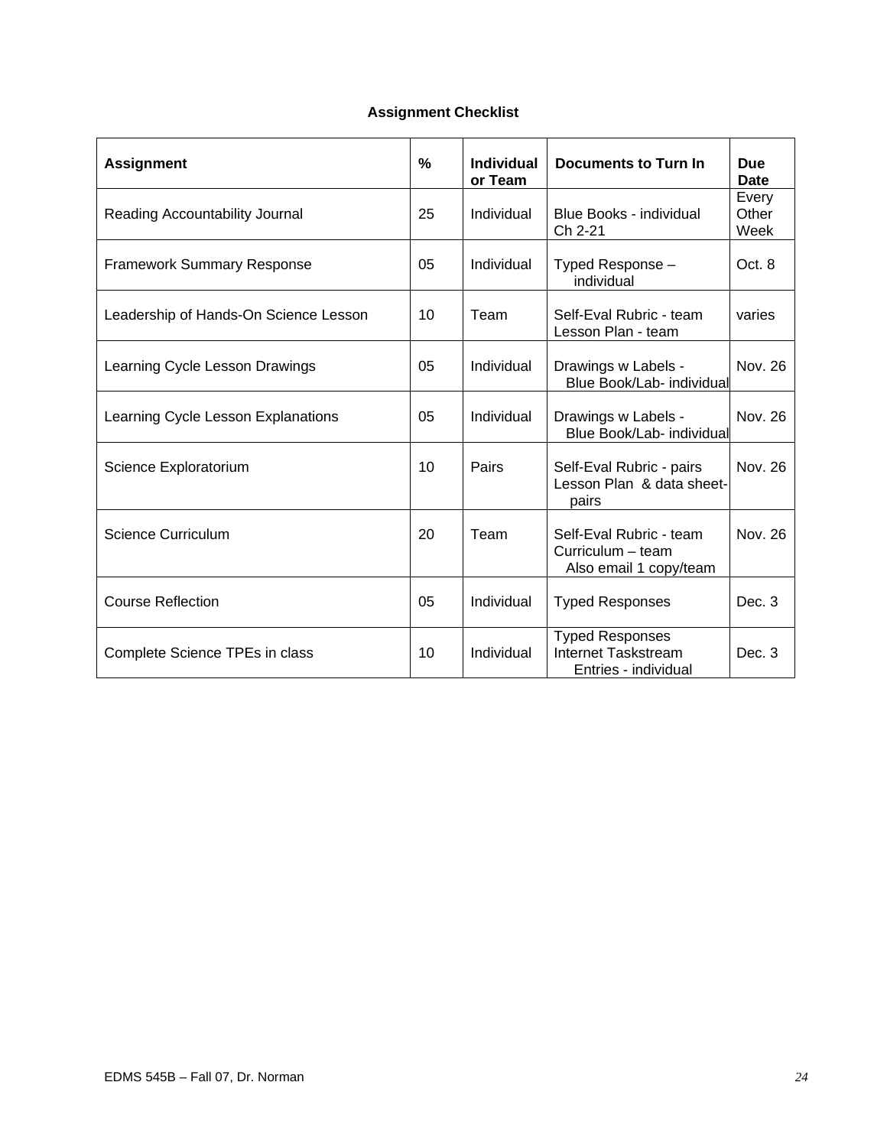# **Assignment Checklist**

| <b>Assignment</b>                     | $\frac{0}{0}$ | <b>Individual</b><br>or Team | Documents to Turn In                                                   | <b>Due</b><br>Date     |
|---------------------------------------|---------------|------------------------------|------------------------------------------------------------------------|------------------------|
| Reading Accountability Journal        | 25            | Individual                   | Blue Books - individual<br>Ch 2-21                                     | Every<br>Other<br>Week |
| <b>Framework Summary Response</b>     | 05            | Individual                   | Typed Response -<br>individual                                         | Oct. 8                 |
| Leadership of Hands-On Science Lesson | 10            | Team                         | Self-Eval Rubric - team<br>Lesson Plan - team                          | varies                 |
| Learning Cycle Lesson Drawings        | 05            | Individual                   | Drawings w Labels -<br>Blue Book/Lab- individual                       | Nov. 26                |
| Learning Cycle Lesson Explanations    | 05            | Individual                   | Drawings w Labels -<br>Blue Book/Lab- individual                       | Nov. 26                |
| Science Exploratorium                 | 10            | Pairs                        | Self-Eval Rubric - pairs<br>Lesson Plan & data sheet-<br>pairs         | Nov. 26                |
| <b>Science Curriculum</b>             | 20            | Team                         | Self-Eval Rubric - team<br>Curriculum - team<br>Also email 1 copy/team | Nov. 26                |
| <b>Course Reflection</b>              | 05            | Individual                   | <b>Typed Responses</b>                                                 | Dec. 3                 |
| Complete Science TPEs in class        | 10            | Individual                   | <b>Typed Responses</b><br>Internet Taskstream<br>Entries - individual  | Dec. 3                 |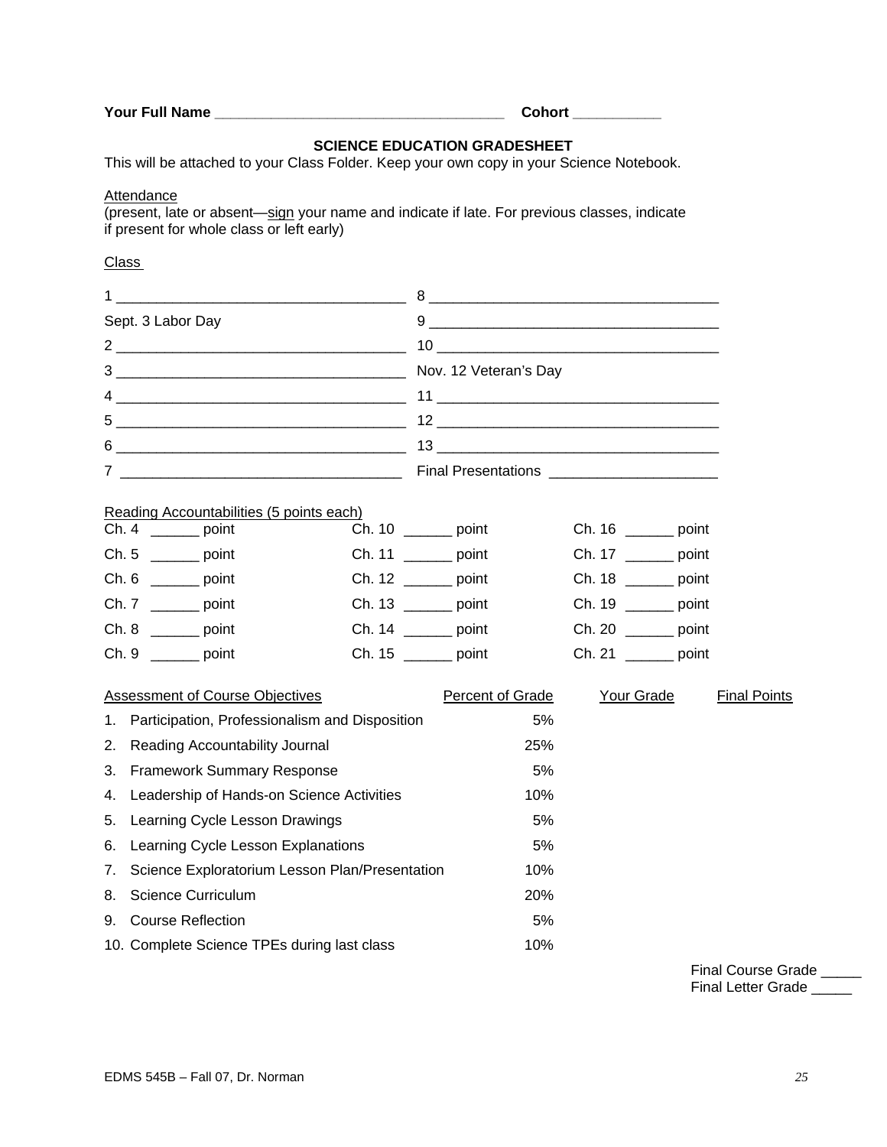|  |  |  | Your Full Name |  |
|--|--|--|----------------|--|
|--|--|--|----------------|--|

**Your Full Name \_\_\_\_\_\_\_\_\_\_\_\_\_\_\_\_\_\_\_\_\_\_\_\_\_\_\_\_\_\_\_\_\_\_\_\_ Cohort \_\_\_\_\_\_\_\_\_\_\_** 

## **SCIENCE EDUCATION GRADESHEET**

This will be attached to your Class Folder. Keep your own copy in your Science Notebook.

## **Attendance**

(present, late or absent—sign your name and indicate if late. For previous classes, indicate if present for whole class or left early)

## **Class**

|                                             | $\overline{1}$ , and the contract of the contract of the contract of the contract of the contract of the contract of the contract of the contract of the contract of the contract of the contract of the contract of the contract o |                                                                                                                                                                                                                                                                                                                                                               |                         |     |                       |  |                     |
|---------------------------------------------|-------------------------------------------------------------------------------------------------------------------------------------------------------------------------------------------------------------------------------------|---------------------------------------------------------------------------------------------------------------------------------------------------------------------------------------------------------------------------------------------------------------------------------------------------------------------------------------------------------------|-------------------------|-----|-----------------------|--|---------------------|
| Sept. 3 Labor Day                           |                                                                                                                                                                                                                                     | $9 \begin{tabular}{l} \hline \rule{0.3cm}{0.1cm} \rule{0.3cm}{0.1cm} \rule{0.3cm}{0.1cm} \rule{0.3cm}{0.1cm} \rule{0.3cm}{0.1cm} \rule{0.3cm}{0.1cm} \rule{0.3cm}{0.1cm} \rule{0.3cm}{0.1cm} \rule{0.3cm}{0.1cm} \rule{0.3cm}{0.1cm} \rule{0.3cm}{0.1cm} \rule{0.3cm}{0.1cm} \rule{0.3cm}{0.1cm} \rule{0.3cm}{0.1cm} \rule{0.3cm}{0.1cm} \rule{0.3cm}{0.1cm}$ |                         |     |                       |  |                     |
|                                             |                                                                                                                                                                                                                                     |                                                                                                                                                                                                                                                                                                                                                               |                         |     |                       |  |                     |
|                                             |                                                                                                                                                                                                                                     |                                                                                                                                                                                                                                                                                                                                                               |                         |     |                       |  |                     |
|                                             |                                                                                                                                                                                                                                     |                                                                                                                                                                                                                                                                                                                                                               |                         |     |                       |  |                     |
|                                             |                                                                                                                                                                                                                                     |                                                                                                                                                                                                                                                                                                                                                               |                         |     |                       |  |                     |
|                                             |                                                                                                                                                                                                                                     |                                                                                                                                                                                                                                                                                                                                                               |                         |     |                       |  |                     |
|                                             |                                                                                                                                                                                                                                     |                                                                                                                                                                                                                                                                                                                                                               |                         |     |                       |  |                     |
|                                             |                                                                                                                                                                                                                                     |                                                                                                                                                                                                                                                                                                                                                               |                         |     |                       |  |                     |
|                                             | Reading Accountabilities (5 points each)<br>$Ch. 4$ ________ point                                                                                                                                                                  |                                                                                                                                                                                                                                                                                                                                                               | Ch. $10$ ________ point |     | Ch. 16 _______ point  |  |                     |
|                                             | Ch. 5 $\frac{1}{2}$ point                                                                                                                                                                                                           |                                                                                                                                                                                                                                                                                                                                                               | Ch. 11 ________ point   |     | Ch. 17 ________ point |  |                     |
|                                             | $Ch. 6$ _________ point                                                                                                                                                                                                             |                                                                                                                                                                                                                                                                                                                                                               | Ch. 12 ________ point   |     | Ch. 18 _______ point  |  |                     |
|                                             | Ch. 7 _________ point                                                                                                                                                                                                               |                                                                                                                                                                                                                                                                                                                                                               | Ch. 13 ________ point   |     | Ch. 19 ________ point |  |                     |
|                                             | $Ch. 8$ ________ point                                                                                                                                                                                                              |                                                                                                                                                                                                                                                                                                                                                               | Ch. 14 ________ point   |     | Ch. 20 ________ point |  |                     |
|                                             | $Ch. 9$ ________ point                                                                                                                                                                                                              |                                                                                                                                                                                                                                                                                                                                                               | Ch. 15 _______ point    |     | $Ch. 21$ point        |  |                     |
|                                             |                                                                                                                                                                                                                                     |                                                                                                                                                                                                                                                                                                                                                               |                         |     |                       |  |                     |
|                                             | Assessment of Course Objectives                                                                                                                                                                                                     |                                                                                                                                                                                                                                                                                                                                                               | Percent of Grade        |     | Your Grade            |  | <b>Final Points</b> |
|                                             | 1. Participation, Professionalism and Disposition                                                                                                                                                                                   |                                                                                                                                                                                                                                                                                                                                                               | 5%                      |     |                       |  |                     |
| 2.                                          | Reading Accountability Journal                                                                                                                                                                                                      |                                                                                                                                                                                                                                                                                                                                                               | 25%                     |     |                       |  |                     |
| 3.                                          | <b>Framework Summary Response</b>                                                                                                                                                                                                   |                                                                                                                                                                                                                                                                                                                                                               | 5%                      |     |                       |  |                     |
| 4.                                          | Leadership of Hands-on Science Activities                                                                                                                                                                                           |                                                                                                                                                                                                                                                                                                                                                               |                         | 10% |                       |  |                     |
| 5.                                          | Learning Cycle Lesson Drawings                                                                                                                                                                                                      |                                                                                                                                                                                                                                                                                                                                                               |                         | 5%  |                       |  |                     |
| 6.                                          | Learning Cycle Lesson Explanations                                                                                                                                                                                                  |                                                                                                                                                                                                                                                                                                                                                               | 5%                      |     |                       |  |                     |
| 7.                                          | Science Exploratorium Lesson Plan/Presentation                                                                                                                                                                                      |                                                                                                                                                                                                                                                                                                                                                               | 10%                     |     |                       |  |                     |
| 8.                                          | <b>Science Curriculum</b>                                                                                                                                                                                                           |                                                                                                                                                                                                                                                                                                                                                               | 20%                     |     |                       |  |                     |
| 9.                                          | <b>Course Reflection</b>                                                                                                                                                                                                            |                                                                                                                                                                                                                                                                                                                                                               | 5%                      |     |                       |  |                     |
| 10. Complete Science TPEs during last class |                                                                                                                                                                                                                                     |                                                                                                                                                                                                                                                                                                                                                               |                         | 10% |                       |  |                     |

 Final Course Grade \_\_\_\_\_ Final Letter Grade \_\_\_\_\_